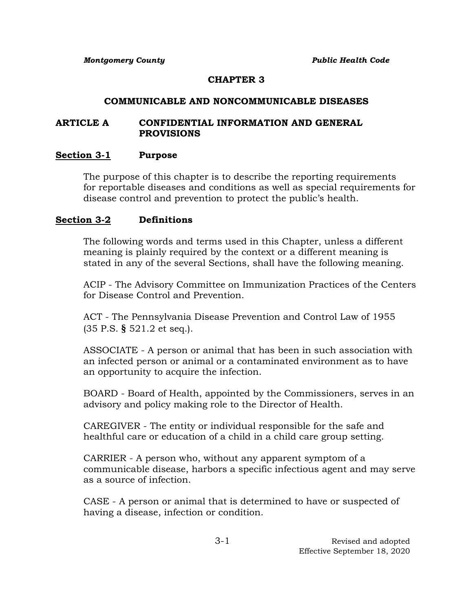### **CHAPTER 3**

#### **COMMUNICABLE AND NONCOMMUNICABLE DISEASES**

### **ARTICLE A CONFIDENTIAL INFORMATION AND GENERAL PROVISIONS**

### **Section 3-1 Purpose**

The purpose of this chapter is to describe the reporting requirements for reportable diseases and conditions as well as special requirements for disease control and prevention to protect the public's health.

### **Section 3-2 Definitions**

The following words and terms used in this Chapter, unless a different meaning is plainly required by the context or a different meaning is stated in any of the several Sections, shall have the following meaning.

ACIP - The Advisory Committee on Immunization Practices of the Centers for Disease Control and Prevention.

ACT - The Pennsylvania Disease Prevention and Control Law of 1955 (35 P.S. **§** 521.2 et seq.).

ASSOCIATE - A person or animal that has been in such association with an infected person or animal or a contaminated environment as to have an opportunity to acquire the infection.

BOARD - Board of Health, appointed by the Commissioners, serves in an advisory and policy making role to the Director of Health.

CAREGIVER - The entity or individual responsible for the safe and healthful care or education of a child in a child care group setting.

CARRIER - A person who, without any apparent symptom of a communicable disease, harbors a specific infectious agent and may serve as a source of infection.

CASE - A person or animal that is determined to have or suspected of having a disease, infection or condition.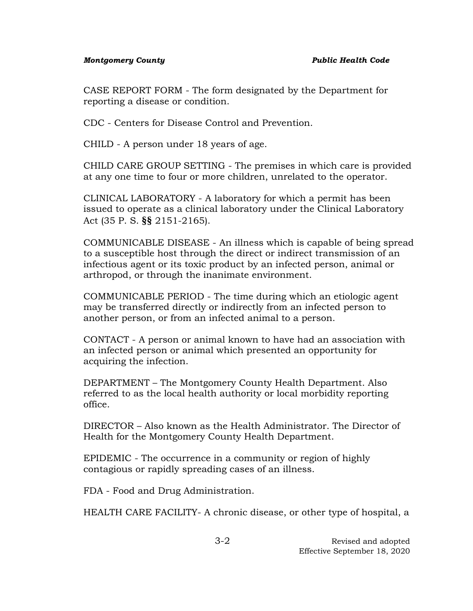CASE REPORT FORM - The form designated by the Department for reporting a disease or condition.

CDC - Centers for Disease Control and Prevention.

CHILD - A person under 18 years of age.

CHILD CARE GROUP SETTING - The premises in which care is provided at any one time to four or more children, unrelated to the operator.

CLINICAL LABORATORY - A laboratory for which a permit has been issued to operate as a clinical laboratory under the Clinical Laboratory Act (35 P. S. **§§** 2151-2165).

COMMUNICABLE DISEASE - An illness which is capable of being spread to a susceptible host through the direct or indirect transmission of an infectious agent or its toxic product by an infected person, animal or arthropod, or through the inanimate environment.

COMMUNICABLE PERIOD - The time during which an etiologic agent may be transferred directly or indirectly from an infected person to another person, or from an infected animal to a person.

CONTACT - A person or animal known to have had an association with an infected person or animal which presented an opportunity for acquiring the infection.

DEPARTMENT – The Montgomery County Health Department. Also referred to as the local health authority or local morbidity reporting office.

DIRECTOR – Also known as the Health Administrator. The Director of Health for the Montgomery County Health Department.

EPIDEMIC - The occurrence in a community or region of highly contagious or rapidly spreading cases of an illness.

FDA - Food and Drug Administration.

HEALTH CARE FACILITY- A chronic disease, or other type of hospital, a

3-2 Revised and adopted Effective September 18, 2020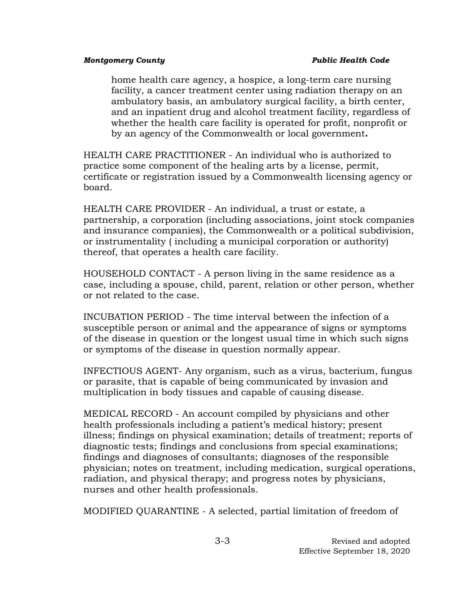home health care agency, a hospice, a long-term care nursing facility, a cancer treatment center using radiation therapy on an ambulatory basis, an ambulatory surgical facility, a birth center, and an inpatient drug and alcohol treatment facility, regardless of whether the health care facility is operated for profit, nonprofit or by an agency of the Commonwealth or local government**.**

HEALTH CARE PRACTITIONER - An individual who is authorized to practice some component of the healing arts by a license, permit, certificate or registration issued by a Commonwealth licensing agency or board.

HEALTH CARE PROVIDER - An individual, a trust or estate, a partnership, a corporation (including associations, joint stock companies and insurance companies), the Commonwealth or a political subdivision, or instrumentality ( including a municipal corporation or authority) thereof, that operates a health care facility.

HOUSEHOLD CONTACT - A person living in the same residence as a case, including a spouse, child, parent, relation or other person, whether or not related to the case.

INCUBATION PERIOD - The time interval between the infection of a susceptible person or animal and the appearance of signs or symptoms of the disease in question or the longest usual time in which such signs or symptoms of the disease in question normally appear.

INFECTIOUS AGENT- Any organism, such as a virus, bacterium, fungus or parasite, that is capable of being communicated by invasion and multiplication in body tissues and capable of causing disease.

MEDICAL RECORD - An account compiled by physicians and other health professionals including a patient's medical history; present illness; findings on physical examination; details of treatment; reports of diagnostic tests; findings and conclusions from special examinations; findings and diagnoses of consultants; diagnoses of the responsible physician; notes on treatment, including medication, surgical operations, radiation, and physical therapy; and progress notes by physicians, nurses and other health professionals.

MODIFIED QUARANTINE - A selected, partial limitation of freedom of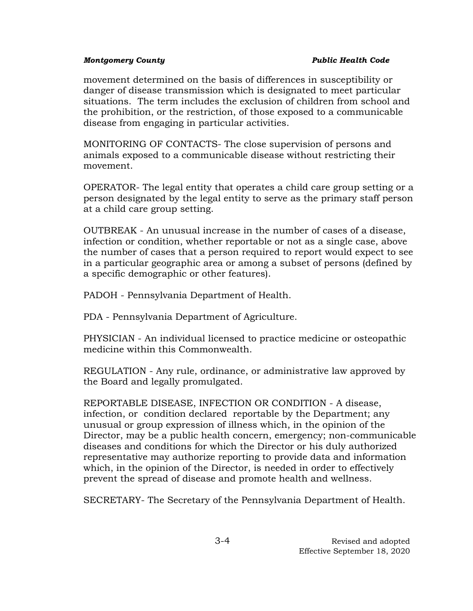movement determined on the basis of differences in susceptibility or danger of disease transmission which is designated to meet particular situations. The term includes the exclusion of children from school and the prohibition, or the restriction, of those exposed to a communicable disease from engaging in particular activities.

MONITORING OF CONTACTS- The close supervision of persons and animals exposed to a communicable disease without restricting their movement.

OPERATOR- The legal entity that operates a child care group setting or a person designated by the legal entity to serve as the primary staff person at a child care group setting.

OUTBREAK - An unusual increase in the number of cases of a disease, infection or condition, whether reportable or not as a single case, above the number of cases that a person required to report would expect to see in a particular geographic area or among a subset of persons (defined by a specific demographic or other features).

PADOH - Pennsylvania Department of Health.

PDA - Pennsylvania Department of Agriculture.

PHYSICIAN - An individual licensed to practice medicine or osteopathic medicine within this Commonwealth.

REGULATION - Any rule, ordinance, or administrative law approved by the Board and legally promulgated.

REPORTABLE DISEASE, INFECTION OR CONDITION - A disease, infection, or condition declared reportable by the Department; any unusual or group expression of illness which, in the opinion of the Director, may be a public health concern, emergency; non-communicable diseases and conditions for which the Director or his duly authorized representative may authorize reporting to provide data and information which, in the opinion of the Director, is needed in order to effectively prevent the spread of disease and promote health and wellness.

SECRETARY- The Secretary of the Pennsylvania Department of Health.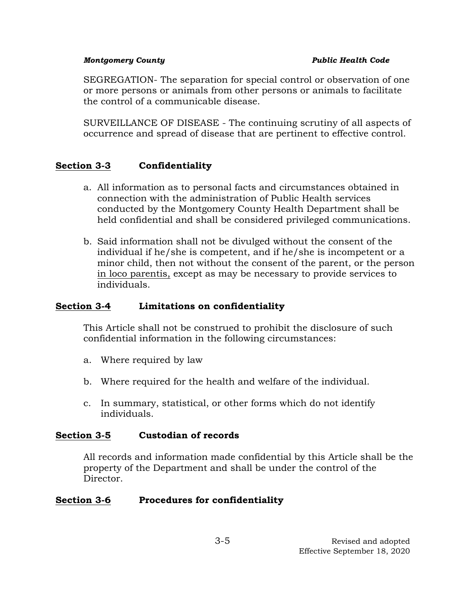SEGREGATION- The separation for special control or observation of one or more persons or animals from other persons or animals to facilitate the control of a communicable disease.

SURVEILLANCE OF DISEASE - The continuing scrutiny of all aspects of occurrence and spread of disease that are pertinent to effective control.

# **Section 3-3 Confidentiality**

- a. All information as to personal facts and circumstances obtained in connection with the administration of Public Health services conducted by the Montgomery County Health Department shall be held confidential and shall be considered privileged communications.
- b. Said information shall not be divulged without the consent of the individual if he/she is competent, and if he/she is incompetent or a minor child, then not without the consent of the parent, or the person in loco parentis, except as may be necessary to provide services to individuals.

# **Section 3-4 Limitations on confidentiality**

This Article shall not be construed to prohibit the disclosure of such confidential information in the following circumstances:

- a. Where required by law
- b. Where required for the health and welfare of the individual.
- c. In summary, statistical, or other forms which do not identify individuals.

## **Section 3-5 Custodian of records**

All records and information made confidential by this Article shall be the property of the Department and shall be under the control of the Director.

# **Section 3-6 Procedures for confidentiality**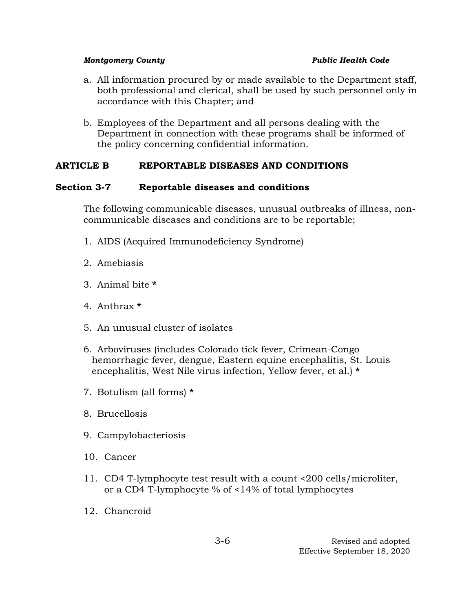- a. All information procured by or made available to the Department staff, both professional and clerical, shall be used by such personnel only in accordance with this Chapter; and
- b. Employees of the Department and all persons dealing with the Department in connection with these programs shall be informed of the policy concerning confidential information.

# **ARTICLE B REPORTABLE DISEASES AND CONDITIONS**

## **Section 3-7 Reportable diseases and conditions**

The following communicable diseases, unusual outbreaks of illness, noncommunicable diseases and conditions are to be reportable;

- 1. AIDS (Acquired Immunodeficiency Syndrome)
- 2. Amebiasis
- 3. Animal bite **\***
- 4. Anthrax **\***
- 5. An unusual cluster of isolates
- 6. Arboviruses (includes Colorado tick fever, Crimean-Congo hemorrhagic fever, dengue, Eastern equine encephalitis, St. Louis encephalitis, West Nile virus infection, Yellow fever, et al.) **\***
- 7. Botulism (all forms) **\***
- 8. Brucellosis
- 9. Campylobacteriosis
- 10. Cancer
- 11. CD4 T-lymphocyte test result with a count <200 cells/microliter, or a CD4 T-lymphocyte % of <14% of total lymphocytes
- 12. Chancroid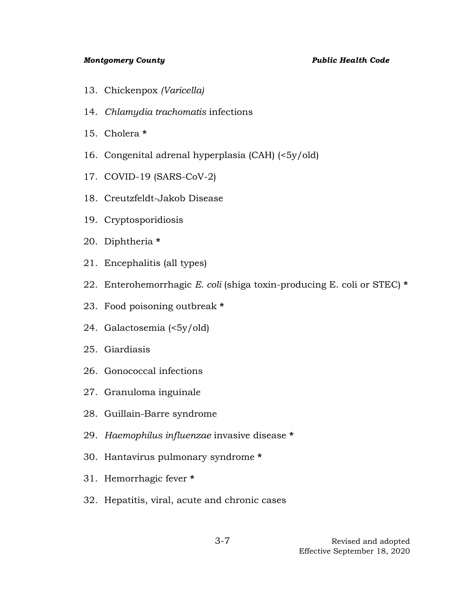- 13. Chickenpox *(Varicella)*
- 14. *Chlamydia trachomatis* infections
- 15. Cholera **\***
- 16. Congenital adrenal hyperplasia (CAH) (<5y/old)
- 17. COVID-19 (SARS-CoV-2)
- 18. Creutzfeldt-Jakob Disease
- 19. Cryptosporidiosis
- 20. Diphtheria **\***
- 21. Encephalitis (all types)
- 22. Enterohemorrhagic *E. coli* (shiga toxin-producing E. coli or STEC) **\***
- 23. Food poisoning outbreak **\***
- 24. Galactosemia (<5y/old)
- 25. Giardiasis
- 26. Gonococcal infections
- 27. Granuloma inguinale
- 28. Guillain-Barre syndrome
- 29. *Haemophilus influenzae* invasive disease **\***
- 30. Hantavirus pulmonary syndrome **\***
- 31. Hemorrhagic fever **\***
- 32. Hepatitis, viral, acute and chronic cases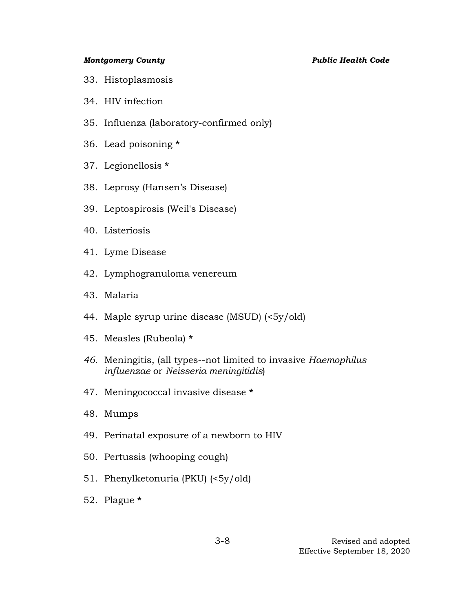- 33. Histoplasmosis
- 34. HIV infection
- 35. Influenza (laboratory-confirmed only)
- 36. Lead poisoning **\***
- 37. Legionellosis **\***
- 38. Leprosy (Hansen's Disease)
- 39. Leptospirosis (Weil's Disease)
- 40. Listeriosis
- 41. Lyme Disease
- 42. Lymphogranuloma venereum
- 43. Malaria
- 44. Maple syrup urine disease (MSUD) (<5y/old)
- 45. Measles (Rubeola) **\***
- *46.* Meningitis, (all types--not limited to invasive *Haemophilus influenzae* or *Neisseria meningitidis*)
- 47. Meningococcal invasive disease **\***
- 48. Mumps
- 49. Perinatal exposure of a newborn to HIV
- 50. Pertussis (whooping cough)
- 51. Phenylketonuria (PKU) (<5y/old)
- 52. Plague **\***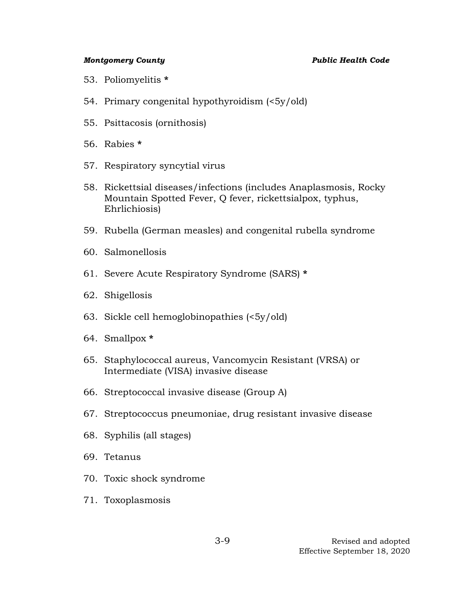- 53. Poliomyelitis **\***
- 54. Primary congenital hypothyroidism (<5y/old)
- 55. Psittacosis (ornithosis)
- 56. Rabies **\***
- 57. Respiratory syncytial virus
- 58. Rickettsial diseases/infections (includes Anaplasmosis, Rocky Mountain Spotted Fever, Q fever, rickettsialpox, typhus, Ehrlichiosis)
- 59. Rubella (German measles) and congenital rubella syndrome
- 60. Salmonellosis
- 61. Severe Acute Respiratory Syndrome (SARS) **\***
- 62. Shigellosis
- 63. Sickle cell hemoglobinopathies (<5y/old)
- 64. Smallpox **\***
- 65. Staphylococcal aureus, Vancomycin Resistant (VRSA) or Intermediate (VISA) invasive disease
- 66. Streptococcal invasive disease (Group A)
- 67. Streptococcus pneumoniae, drug resistant invasive disease
- 68. Syphilis (all stages)
- 69. Tetanus
- 70. Toxic shock syndrome
- 71. Toxoplasmosis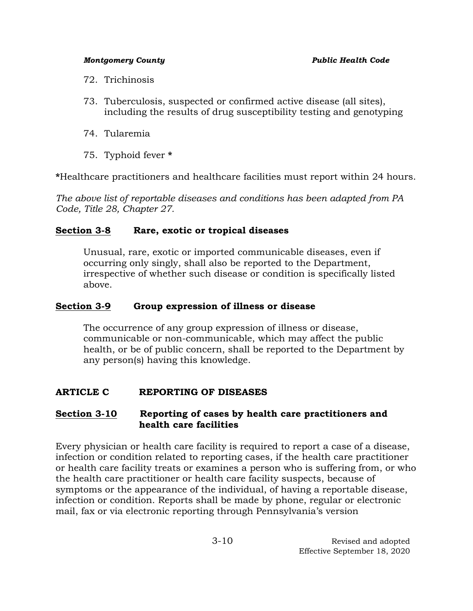- 72. Trichinosis
- 73. Tuberculosis, suspected or confirmed active disease (all sites), including the results of drug susceptibility testing and genotyping
- 74. Tularemia
- 75. Typhoid fever **\***

**\***Healthcare practitioners and healthcare facilities must report within 24 hours.

*The above list of reportable diseases and conditions has been adapted from PA Code, Title 28, Chapter 27.*

# **Section 3-8 Rare, exotic or tropical diseases**

Unusual, rare, exotic or imported communicable diseases, even if occurring only singly, shall also be reported to the Department, irrespective of whether such disease or condition is specifically listed above.

## **Section 3-9 Group expression of illness or disease**

The occurrence of any group expression of illness or disease, communicable or non-communicable, which may affect the public health, or be of public concern, shall be reported to the Department by any person(s) having this knowledge.

# **ARTICLE C REPORTING OF DISEASES**

## **Section 3-10 Reporting of cases by health care practitioners and health care facilities**

Every physician or health care facility is required to report a case of a disease, infection or condition related to reporting cases, if the health care practitioner or health care facility treats or examines a person who is suffering from, or who the health care practitioner or health care facility suspects, because of symptoms or the appearance of the individual, of having a reportable disease, infection or condition. Reports shall be made by phone, regular or electronic mail, fax or via electronic reporting through Pennsylvania's version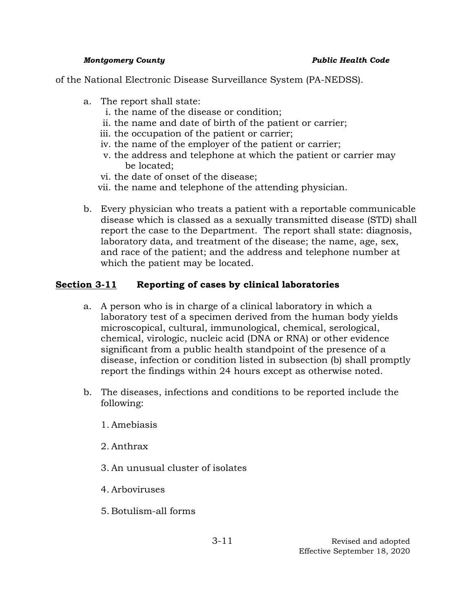of the National Electronic Disease Surveillance System (PA-NEDSS).

- a. The report shall state:
	- i. the name of the disease or condition;
	- ii. the name and date of birth of the patient or carrier;
	- iii. the occupation of the patient or carrier;
	- iv. the name of the employer of the patient or carrier;
	- v. the address and telephone at which the patient or carrier may be located;
	- vi. the date of onset of the disease;
	- vii. the name and telephone of the attending physician.
- b. Every physician who treats a patient with a reportable communicable disease which is classed as a sexually transmitted disease (STD) shall report the case to the Department. The report shall state: diagnosis, laboratory data, and treatment of the disease; the name, age, sex, and race of the patient; and the address and telephone number at which the patient may be located.

# **Section 3-11 Reporting of cases by clinical laboratories**

- a. A person who is in charge of a clinical laboratory in which a laboratory test of a specimen derived from the human body yields microscopical, cultural, immunological, chemical, serological, chemical, virologic, nucleic acid (DNA or RNA) or other evidence significant from a public health standpoint of the presence of a disease, infection or condition listed in subsection (b) shall promptly report the findings within 24 hours except as otherwise noted.
- b. The diseases, infections and conditions to be reported include the following:
	- 1. Amebiasis
	- 2. Anthrax
	- 3. An unusual cluster of isolates
	- 4. Arboviruses
	- 5. Botulism-all forms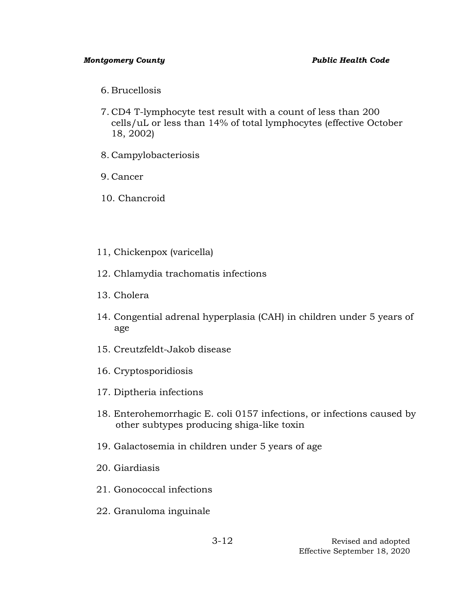- 6. Brucellosis
- 7. CD4 T-lymphocyte test result with a count of less than 200 cells/uL or less than 14% of total lymphocytes (effective October 18, 2002)
- 8. Campylobacteriosis
- 9. Cancer
- 10. Chancroid
- 11, Chickenpox (varicella)
- 12. Chlamydia trachomatis infections
- 13. Cholera
- 14. Congential adrenal hyperplasia (CAH) in children under 5 years of age
- 15. Creutzfeldt-Jakob disease
- 16. Cryptosporidiosis
- 17. Diptheria infections
- 18. Enterohemorrhagic E. coli 0157 infections, or infections caused by other subtypes producing shiga-like toxin
- 19. Galactosemia in children under 5 years of age
- 20. Giardiasis
- 21. Gonococcal infections
- 22. Granuloma inguinale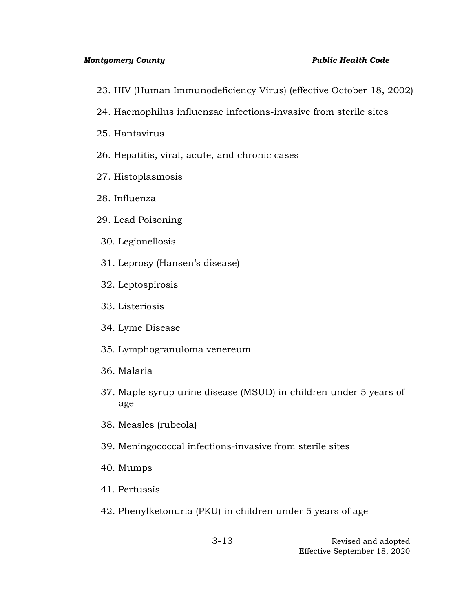- 23. HIV (Human Immunodeficiency Virus) (effective October 18, 2002)
- 24. Haemophilus influenzae infections-invasive from sterile sites
- 25. Hantavirus
- 26. Hepatitis, viral, acute, and chronic cases
- 27. Histoplasmosis
- 28. Influenza
- 29. Lead Poisoning
- 30. Legionellosis
- 31. Leprosy (Hansen's disease)
- 32. Leptospirosis
- 33. Listeriosis
- 34. Lyme Disease
- 35. Lymphogranuloma venereum
- 36. Malaria
- 37. Maple syrup urine disease (MSUD) in children under 5 years of age
- 38. Measles (rubeola)
- 39. Meningococcal infections-invasive from sterile sites
- 40. Mumps
- 41. Pertussis
- 42. Phenylketonuria (PKU) in children under 5 years of age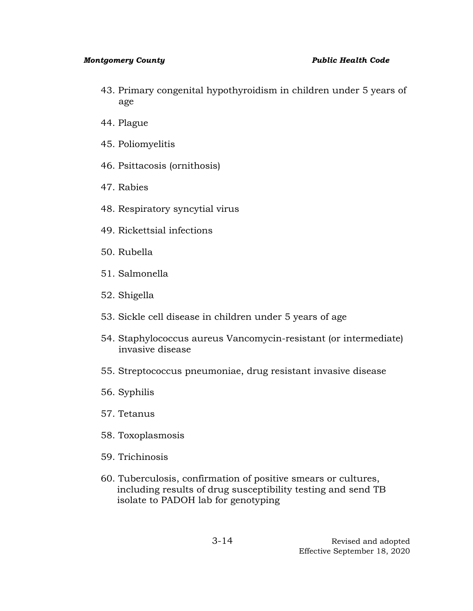- 43. Primary congenital hypothyroidism in children under 5 years of age
- 44. Plague
- 45. Poliomyelitis
- 46. Psittacosis (ornithosis)
- 47. Rabies
- 48. Respiratory syncytial virus
- 49. Rickettsial infections
- 50. Rubella
- 51. Salmonella
- 52. Shigella
- 53. Sickle cell disease in children under 5 years of age
- 54. Staphylococcus aureus Vancomycin-resistant (or intermediate) invasive disease
- 55. Streptococcus pneumoniae, drug resistant invasive disease
- 56. Syphilis
- 57. Tetanus
- 58. Toxoplasmosis
- 59. Trichinosis
- 60. Tuberculosis, confirmation of positive smears or cultures, including results of drug susceptibility testing and send TB isolate to PADOH lab for genotyping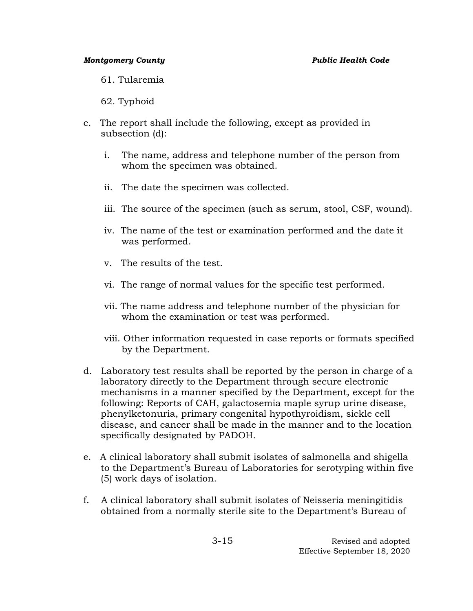61. Tularemia

62. Typhoid

- c. The report shall include the following, except as provided in subsection (d):
	- i. The name, address and telephone number of the person from whom the specimen was obtained.
	- ii. The date the specimen was collected.
	- iii. The source of the specimen (such as serum, stool, CSF, wound).
	- iv. The name of the test or examination performed and the date it was performed.
	- v. The results of the test.
	- vi. The range of normal values for the specific test performed.
	- vii. The name address and telephone number of the physician for whom the examination or test was performed.
	- viii. Other information requested in case reports or formats specified by the Department.
- d. Laboratory test results shall be reported by the person in charge of a laboratory directly to the Department through secure electronic mechanisms in a manner specified by the Department, except for the following: Reports of CAH, galactosemia maple syrup urine disease, phenylketonuria, primary congenital hypothyroidism, sickle cell disease, and cancer shall be made in the manner and to the location specifically designated by PADOH.
- e. A clinical laboratory shall submit isolates of salmonella and shigella to the Department's Bureau of Laboratories for serotyping within five (5) work days of isolation.
- f. A clinical laboratory shall submit isolates of Neisseria meningitidis obtained from a normally sterile site to the Department's Bureau of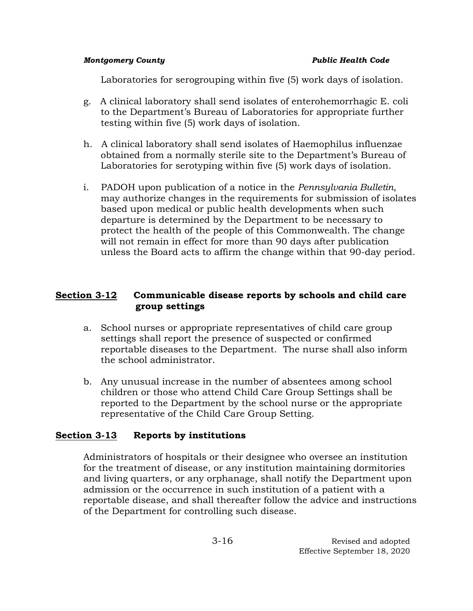Laboratories for serogrouping within five (5) work days of isolation.

- g. A clinical laboratory shall send isolates of enterohemorrhagic E. coli to the Department's Bureau of Laboratories for appropriate further testing within five (5) work days of isolation.
- h. A clinical laboratory shall send isolates of Haemophilus influenzae obtained from a normally sterile site to the Department's Bureau of Laboratories for serotyping within five (5) work days of isolation.
- i. PADOH upon publication of a notice in the *Pennsylvania Bulletin*, may authorize changes in the requirements for submission of isolates based upon medical or public health developments when such departure is determined by the Department to be necessary to protect the health of the people of this Commonwealth. The change will not remain in effect for more than 90 days after publication unless the Board acts to affirm the change within that 90-day period.

# **Section 3-12 Communicable disease reports by schools and child care group settings**

- a. School nurses or appropriate representatives of child care group settings shall report the presence of suspected or confirmed reportable diseases to the Department. The nurse shall also inform the school administrator.
- b. Any unusual increase in the number of absentees among school children or those who attend Child Care Group Settings shall be reported to the Department by the school nurse or the appropriate representative of the Child Care Group Setting.

# **Section 3-13 Reports by institutions**

Administrators of hospitals or their designee who oversee an institution for the treatment of disease, or any institution maintaining dormitories and living quarters, or any orphanage, shall notify the Department upon admission or the occurrence in such institution of a patient with a reportable disease, and shall thereafter follow the advice and instructions of the Department for controlling such disease.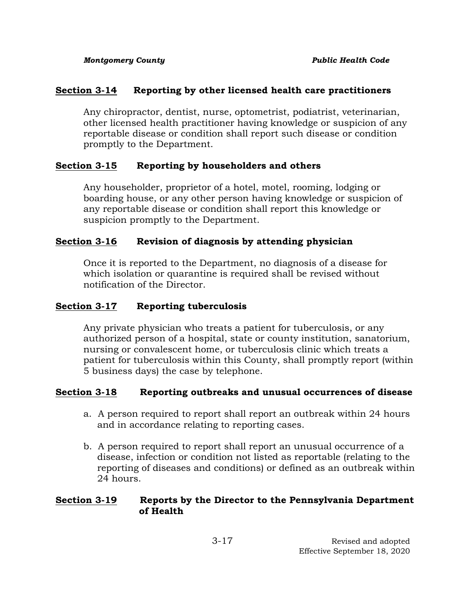# **Section 3-14 Reporting by other licensed health care practitioners**

Any chiropractor, dentist, nurse, optometrist, podiatrist, veterinarian, other licensed health practitioner having knowledge or suspicion of any reportable disease or condition shall report such disease or condition promptly to the Department.

# **Section 3-15 Reporting by householders and others**

Any householder, proprietor of a hotel, motel, rooming, lodging or boarding house, or any other person having knowledge or suspicion of any reportable disease or condition shall report this knowledge or suspicion promptly to the Department.

# **Section 3-16 Revision of diagnosis by attending physician**

Once it is reported to the Department, no diagnosis of a disease for which isolation or quarantine is required shall be revised without notification of the Director.

# **Section 3-17 Reporting tuberculosis**

Any private physician who treats a patient for tuberculosis, or any authorized person of a hospital, state or county institution, sanatorium, nursing or convalescent home, or tuberculosis clinic which treats a patient for tuberculosis within this County, shall promptly report (within 5 business days) the case by telephone.

# **Section 3-18 Reporting outbreaks and unusual occurrences of disease**

- a.A person required to report shall report an outbreak within 24 hours and in accordance relating to reporting cases.
- b. A person required to report shall report an unusual occurrence of a disease, infection or condition not listed as reportable (relating to the reporting of diseases and conditions) or defined as an outbreak within 24 hours.

# **Section 3-19 Reports by the Director to the Pennsylvania Department of Health**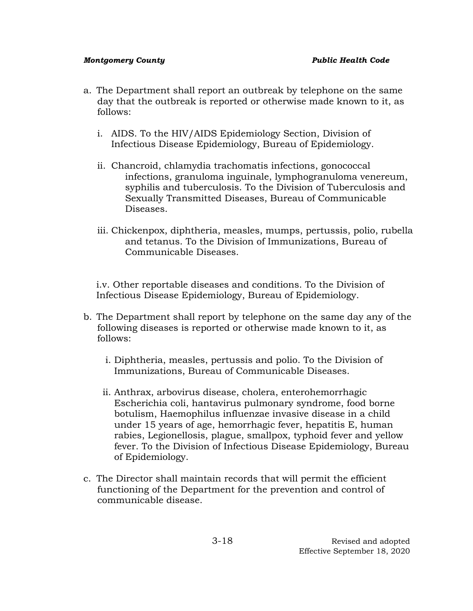- a. The Department shall report an outbreak by telephone on the same day that the outbreak is reported or otherwise made known to it, as follows:
	- i. AIDS. To the HIV/AIDS Epidemiology Section, Division of Infectious Disease Epidemiology, Bureau of Epidemiology.
	- ii. Chancroid, chlamydia trachomatis infections, gonococcal infections, granuloma inguinale, lymphogranuloma venereum, syphilis and tuberculosis. To the Division of Tuberculosis and Sexually Transmitted Diseases, Bureau of Communicable Diseases.
	- iii. Chickenpox, diphtheria, measles, mumps, pertussis, polio, rubella and tetanus. To the Division of Immunizations, Bureau of Communicable Diseases.

i.v. Other reportable diseases and conditions. To the Division of Infectious Disease Epidemiology, Bureau of Epidemiology.

- b. The Department shall report by telephone on the same day any of the following diseases is reported or otherwise made known to it, as follows:
	- i. Diphtheria, measles, pertussis and polio. To the Division of Immunizations, Bureau of Communicable Diseases.
	- ii. Anthrax, arbovirus disease, cholera, enterohemorrhagic Escherichia coli, hantavirus pulmonary syndrome, food borne botulism, Haemophilus influenzae invasive disease in a child under 15 years of age, hemorrhagic fever, hepatitis E, human rabies, Legionellosis, plague, smallpox, typhoid fever and yellow fever. To the Division of Infectious Disease Epidemiology, Bureau of Epidemiology.
- c. The Director shall maintain records that will permit the efficient functioning of the Department for the prevention and control of communicable disease.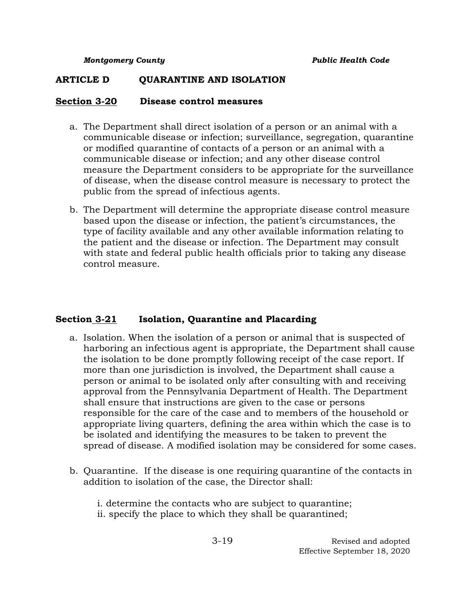## **ARTICLE D QUARANTINE AND ISOLATION**

## **Section 3-20 Disease control measures**

- a. The Department shall direct isolation of a person or an animal with a communicable disease or infection; surveillance, segregation, quarantine or modified quarantine of contacts of a person or an animal with a communicable disease or infection; and any other disease control measure the Department considers to be appropriate for the surveillance of disease, when the disease control measure is necessary to protect the public from the spread of infectious agents.
- b. The Department will determine the appropriate disease control measure based upon the disease or infection, the patient's circumstances, the type of facility available and any other available information relating to the patient and the disease or infection. The Department may consult with state and federal public health officials prior to taking any disease control measure.

## **Section 3-21 Isolation, Quarantine and Placarding**

- a. Isolation. When the isolation of a person or animal that is suspected of harboring an infectious agent is appropriate, the Department shall cause the isolation to be done promptly following receipt of the case report. If more than one jurisdiction is involved, the Department shall cause a person or animal to be isolated only after consulting with and receiving approval from the Pennsylvania Department of Health. The Department shall ensure that instructions are given to the case or persons responsible for the care of the case and to members of the household or appropriate living quarters, defining the area within which the case is to be isolated and identifying the measures to be taken to prevent the spread of disease. A modified isolation may be considered for some cases.
- b. Quarantine. If the disease is one requiring quarantine of the contacts in addition to isolation of the case, the Director shall:

i. determine the contacts who are subject to quarantine; ii. specify the place to which they shall be quarantined;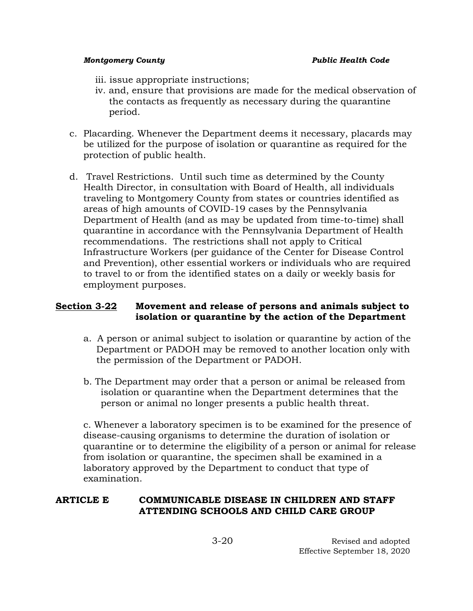- iii. issue appropriate instructions;
- iv. and, ensure that provisions are made for the medical observation of the contacts as frequently as necessary during the quarantine period.
- c. Placarding. Whenever the Department deems it necessary, placards may be utilized for the purpose of isolation or quarantine as required for the protection of public health.
- d. Travel Restrictions. Until such time as determined by the County Health Director, in consultation with Board of Health, all individuals traveling to Montgomery County from states or countries identified as areas of high amounts of COVID-19 cases by the Pennsylvania Department of Health (and as may be updated from time-to-time) shall quarantine in accordance with the Pennsylvania Department of Health recommendations. The restrictions shall not apply to Critical Infrastructure Workers (per guidance of the Center for Disease Control and Prevention), other essential workers or individuals who are required to travel to or from the identified states on a daily or weekly basis for employment purposes.

# **Section 3-22 Movement and release of persons and animals subject to isolation or quarantine by the action of the Department**

- a. A person or animal subject to isolation or quarantine by action of the Department or PADOH may be removed to another location only with the permission of the Department or PADOH.
- b. The Department may order that a person or animal be released from isolation or quarantine when the Department determines that the person or animal no longer presents a public health threat.

c. Whenever a laboratory specimen is to be examined for the presence of disease-causing organisms to determine the duration of isolation or quarantine or to determine the eligibility of a person or animal for release from isolation or quarantine, the specimen shall be examined in a laboratory approved by the Department to conduct that type of examination.

# **ARTICLE E COMMUNICABLE DISEASE IN CHILDREN AND STAFF ATTENDING SCHOOLS AND CHILD CARE GROUP**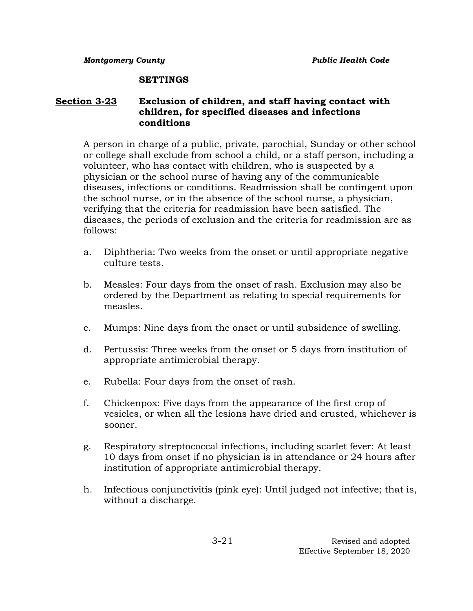### **SETTINGS**

# **Section 3-23 Exclusion of children, and staff having contact with children, for specified diseases and infections conditions**

A person in charge of a public, private, parochial, Sunday or other school or college shall exclude from school a child, or a staff person, including a volunteer, who has contact with children, who is suspected by a physician or the school nurse of having any of the communicable diseases, infections or conditions. Readmission shall be contingent upon the school nurse, or in the absence of the school nurse, a physician, verifying that the criteria for readmission have been satisfied. The diseases, the periods of exclusion and the criteria for readmission are as follows:

- a. Diphtheria: Two weeks from the onset or until appropriate negative culture tests.
- b. Measles: Four days from the onset of rash. Exclusion may also be ordered by the Department as relating to special requirements for measles.
- c. Mumps: Nine days from the onset or until subsidence of swelling.
- d. Pertussis: Three weeks from the onset or 5 days from institution of appropriate antimicrobial therapy.
- e. Rubella: Four days from the onset of rash.
- f. Chickenpox: Five days from the appearance of the first crop of vesicles, or when all the lesions have dried and crusted, whichever is sooner.
- g. Respiratory streptococcal infections, including scarlet fever: At least 10 days from onset if no physician is in attendance or 24 hours after institution of appropriate antimicrobial therapy.
- h. Infectious conjunctivitis (pink eye): Until judged not infective; that is, without a discharge.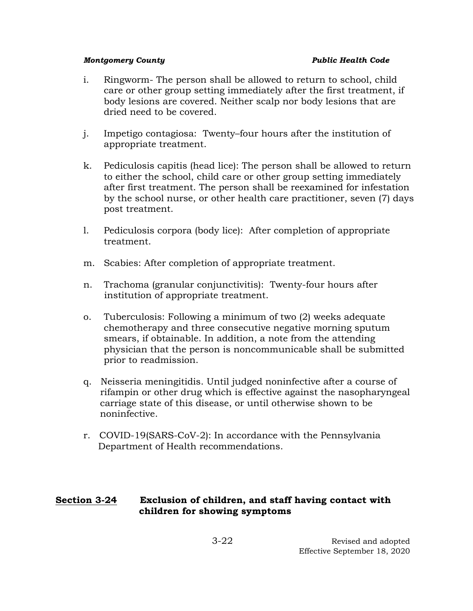- i. Ringworm- The person shall be allowed to return to school, child care or other group setting immediately after the first treatment, if body lesions are covered. Neither scalp nor body lesions that are dried need to be covered.
- j. Impetigo contagiosa: Twenty–four hours after the institution of appropriate treatment.
- k. Pediculosis capitis (head lice): The person shall be allowed to return to either the school, child care or other group setting immediately after first treatment. The person shall be reexamined for infestation by the school nurse, or other health care practitioner, seven (7) days post treatment.
- l. Pediculosis corpora (body lice): After completion of appropriate treatment.
- m. Scabies: After completion of appropriate treatment.
- n. Trachoma (granular conjunctivitis): Twenty-four hours after institution of appropriate treatment.
- o. Tuberculosis: Following a minimum of two (2) weeks adequate chemotherapy and three consecutive negative morning sputum smears, if obtainable. In addition, a note from the attending physician that the person is noncommunicable shall be submitted prior to readmission.
- q. Neisseria meningitidis. Until judged noninfective after a course of rifampin or other drug which is effective against the nasopharyngeal carriage state of this disease, or until otherwise shown to be noninfective.
- r. COVID-19(SARS-CoV-2): In accordance with the Pennsylvania Department of Health recommendations.

# **Section 3-24 Exclusion of children, and staff having contact with children for showing symptoms**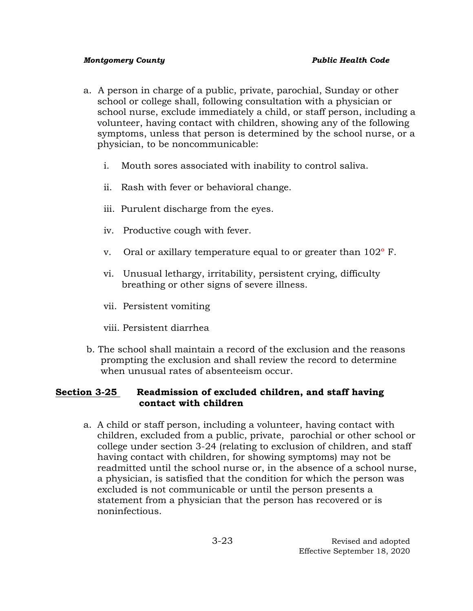- a.A person in charge of a public, private, parochial, Sunday or other school or college shall, following consultation with a physician or school nurse, exclude immediately a child, or staff person, including a volunteer, having contact with children, showing any of the following symptoms, unless that person is determined by the school nurse, or a physician, to be noncommunicable:
	- i. Mouth sores associated with inability to control saliva.
	- ii. Rash with fever or behavioral change.
	- iii. Purulent discharge from the eyes.
	- iv. Productive cough with fever.
	- v. Oral or axillary temperature equal to or greater than 102º F.
	- vi. Unusual lethargy, irritability, persistent crying, difficulty breathing or other signs of severe illness.
	- vii. Persistent vomiting
	- viii. Persistent diarrhea
- b. The school shall maintain a record of the exclusion and the reasons prompting the exclusion and shall review the record to determine when unusual rates of absenteeism occur.

# **Section 3-25 Readmission of excluded children, and staff having contact with children**

a. A child or staff person, including a volunteer, having contact with children, excluded from a public, private, parochial or other school or college under section 3-24 (relating to exclusion of children, and staff having contact with children, for showing symptoms) may not be readmitted until the school nurse or, in the absence of a school nurse, a physician, is satisfied that the condition for which the person was excluded is not communicable or until the person presents a statement from a physician that the person has recovered or is noninfectious.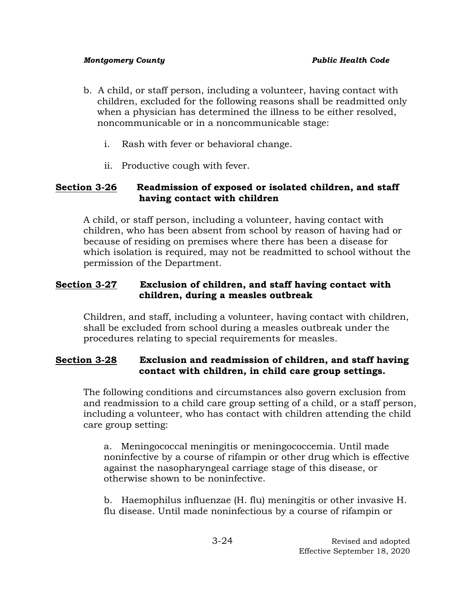- b. A child, or staff person, including a volunteer, having contact with children, excluded for the following reasons shall be readmitted only when a physician has determined the illness to be either resolved, noncommunicable or in a noncommunicable stage:
	- i. Rash with fever or behavioral change.
	- ii. Productive cough with fever.

# **Section 3-26 Readmission of exposed or isolated children, and staff having contact with children**

A child, or staff person, including a volunteer, having contact with children, who has been absent from school by reason of having had or because of residing on premises where there has been a disease for which isolation is required, may not be readmitted to school without the permission of the Department.

# **Section 3-27 Exclusion of children, and staff having contact with children, during a measles outbreak**

Children, and staff, including a volunteer, having contact with children, shall be excluded from school during a measles outbreak under the procedures relating to special requirements for measles.

# **Section 3-28 Exclusion and readmission of children, and staff having contact with children, in child care group settings.**

The following conditions and circumstances also govern exclusion from and readmission to a child care group setting of a child, or a staff person, including a volunteer, who has contact with children attending the child care group setting:

a. Meningococcal meningitis or meningococcemia. Until made noninfective by a course of rifampin or other drug which is effective against the nasopharyngeal carriage stage of this disease, or otherwise shown to be noninfective.

b. Haemophilus influenzae (H. flu) meningitis or other invasive H. flu disease. Until made noninfectious by a course of rifampin or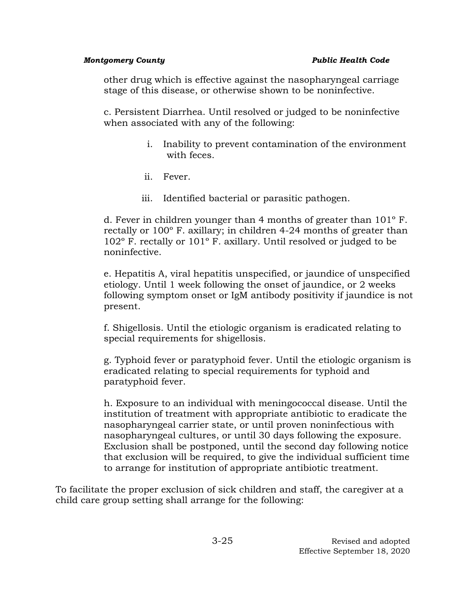other drug which is effective against the nasopharyngeal carriage stage of this disease, or otherwise shown to be noninfective.

c. Persistent Diarrhea. Until resolved or judged to be noninfective when associated with any of the following:

- i. Inability to prevent contamination of the environment with feces.
- ii. Fever.
- iii. Identified bacterial or parasitic pathogen.

d. Fever in children younger than 4 months of greater than 101º F. rectally or 100º F. axillary; in children 4-24 months of greater than 102º F. rectally or 101º F. axillary. Until resolved or judged to be noninfective.

e. Hepatitis A, viral hepatitis unspecified, or jaundice of unspecified etiology. Until 1 week following the onset of jaundice, or 2 weeks following symptom onset or IgM antibody positivity if jaundice is not present.

f. Shigellosis. Until the etiologic organism is eradicated relating to special requirements for shigellosis.

g. Typhoid fever or paratyphoid fever. Until the etiologic organism is eradicated relating to special requirements for typhoid and paratyphoid fever.

h. Exposure to an individual with meningococcal disease. Until the institution of treatment with appropriate antibiotic to eradicate the nasopharyngeal carrier state, or until proven noninfectious with nasopharyngeal cultures, or until 30 days following the exposure. Exclusion shall be postponed, until the second day following notice that exclusion will be required, to give the individual sufficient time to arrange for institution of appropriate antibiotic treatment.

To facilitate the proper exclusion of sick children and staff, the caregiver at a child care group setting shall arrange for the following: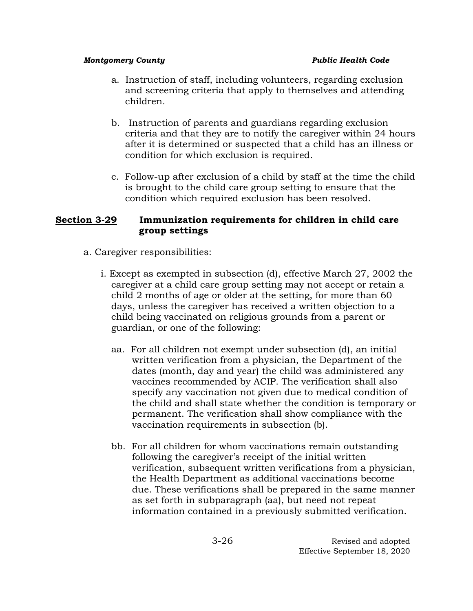- a. Instruction of staff, including volunteers, regarding exclusion and screening criteria that apply to themselves and attending children.
- b. Instruction of parents and guardians regarding exclusion criteria and that they are to notify the caregiver within 24 hours after it is determined or suspected that a child has an illness or condition for which exclusion is required.
- c. Follow-up after exclusion of a child by staff at the time the child is brought to the child care group setting to ensure that the condition which required exclusion has been resolved.

# **Section 3-29 Immunization requirements for children in child care group settings**

- a. Caregiver responsibilities:
	- i. Except as exempted in subsection (d), effective March 27, 2002 the caregiver at a child care group setting may not accept or retain a child 2 months of age or older at the setting, for more than 60 days, unless the caregiver has received a written objection to a child being vaccinated on religious grounds from a parent or guardian, or one of the following:
		- aa. For all children not exempt under subsection (d), an initial written verification from a physician, the Department of the dates (month, day and year) the child was administered any vaccines recommended by ACIP. The verification shall also specify any vaccination not given due to medical condition of the child and shall state whether the condition is temporary or permanent. The verification shall show compliance with the vaccination requirements in subsection (b).
		- bb. For all children for whom vaccinations remain outstanding following the caregiver's receipt of the initial written verification, subsequent written verifications from a physician, the Health Department as additional vaccinations become due. These verifications shall be prepared in the same manner as set forth in subparagraph (aa), but need not repeat information contained in a previously submitted verification.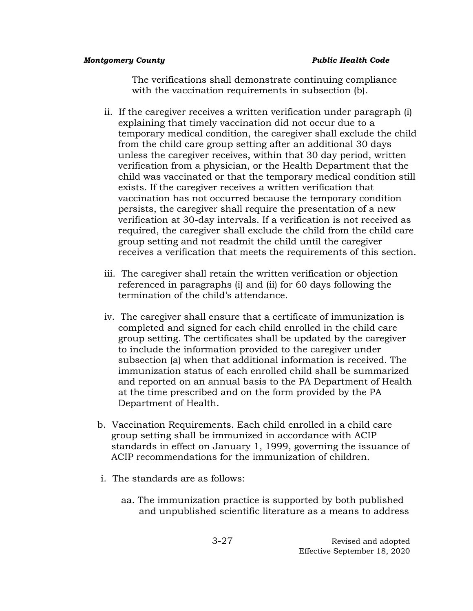The verifications shall demonstrate continuing compliance with the vaccination requirements in subsection (b).

- ii. If the caregiver receives a written verification under paragraph (i) explaining that timely vaccination did not occur due to a temporary medical condition, the caregiver shall exclude the child from the child care group setting after an additional 30 days unless the caregiver receives, within that 30 day period, written verification from a physician, or the Health Department that the child was vaccinated or that the temporary medical condition still exists. If the caregiver receives a written verification that vaccination has not occurred because the temporary condition persists, the caregiver shall require the presentation of a new verification at 30-day intervals. If a verification is not received as required, the caregiver shall exclude the child from the child care group setting and not readmit the child until the caregiver receives a verification that meets the requirements of this section.
- iii. The caregiver shall retain the written verification or objection referenced in paragraphs (i) and (ii) for 60 days following the termination of the child's attendance.
- iv. The caregiver shall ensure that a certificate of immunization is completed and signed for each child enrolled in the child care group setting. The certificates shall be updated by the caregiver to include the information provided to the caregiver under subsection (a) when that additional information is received. The immunization status of each enrolled child shall be summarized and reported on an annual basis to the PA Department of Health at the time prescribed and on the form provided by the PA Department of Health.
- b. Vaccination Requirements. Each child enrolled in a child care group setting shall be immunized in accordance with ACIP standards in effect on January 1, 1999, governing the issuance of ACIP recommendations for the immunization of children.
- i. The standards are as follows:
	- aa. The immunization practice is supported by both published and unpublished scientific literature as a means to address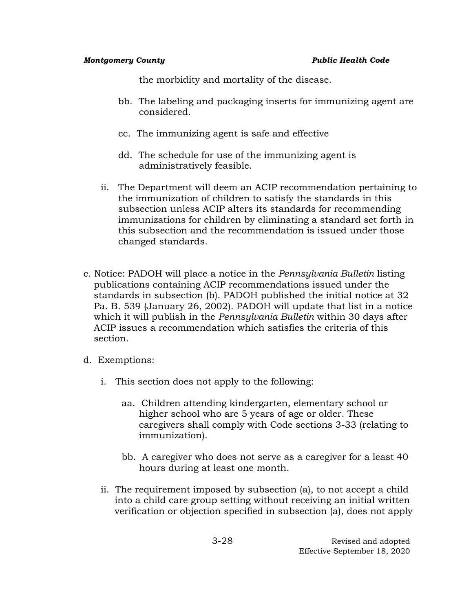the morbidity and mortality of the disease.

- bb. The labeling and packaging inserts for immunizing agent are considered.
- cc. The immunizing agent is safe and effective
- dd. The schedule for use of the immunizing agent is administratively feasible.
- ii. The Department will deem an ACIP recommendation pertaining to the immunization of children to satisfy the standards in this subsection unless ACIP alters its standards for recommending immunizations for children by eliminating a standard set forth in this subsection and the recommendation is issued under those changed standards.
- c. Notice: PADOH will place a notice in the *Pennsylvania Bulletin* listing publications containing ACIP recommendations issued under the standards in subsection (b). PADOH published the initial notice at 32 Pa. B. 539 (January 26, 2002). PADOH will update that list in a notice which it will publish in the *Pennsylvania Bulletin* within 30 days after ACIP issues a recommendation which satisfies the criteria of this section.
- d. Exemptions:
	- i. This section does not apply to the following:
		- aa. Children attending kindergarten, elementary school or higher school who are 5 years of age or older. These caregivers shall comply with Code sections 3-33 (relating to immunization).
		- bb. A caregiver who does not serve as a caregiver for a least 40 hours during at least one month.
	- ii. The requirement imposed by subsection (a), to not accept a child into a child care group setting without receiving an initial written verification or objection specified in subsection (a), does not apply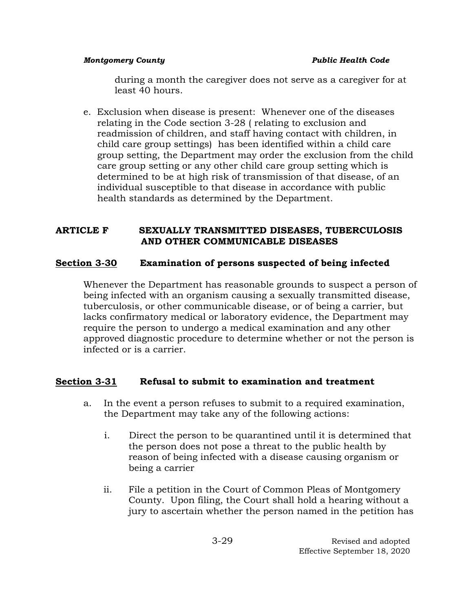during a month the caregiver does not serve as a caregiver for at least 40 hours.

e. Exclusion when disease is present: Whenever one of the diseases relating in the Code section 3-28 ( relating to exclusion and readmission of children, and staff having contact with children, in child care group settings) has been identified within a child care group setting, the Department may order the exclusion from the child care group setting or any other child care group setting which is determined to be at high risk of transmission of that disease, of an individual susceptible to that disease in accordance with public health standards as determined by the Department.

## **ARTICLE F SEXUALLY TRANSMITTED DISEASES, TUBERCULOSIS AND OTHER COMMUNICABLE DISEASES**

## **Section 3-30 Examination of persons suspected of being infected**

Whenever the Department has reasonable grounds to suspect a person of being infected with an organism causing a sexually transmitted disease, tuberculosis, or other communicable disease, or of being a carrier, but lacks confirmatory medical or laboratory evidence, the Department may require the person to undergo a medical examination and any other approved diagnostic procedure to determine whether or not the person is infected or is a carrier.

# **Section 3-31 Refusal to submit to examination and treatment**

- a. In the event a person refuses to submit to a required examination, the Department may take any of the following actions:
	- i. Direct the person to be quarantined until it is determined that the person does not pose a threat to the public health by reason of being infected with a disease causing organism or being a carrier
	- ii. File a petition in the Court of Common Pleas of Montgomery County. Upon filing, the Court shall hold a hearing without a jury to ascertain whether the person named in the petition has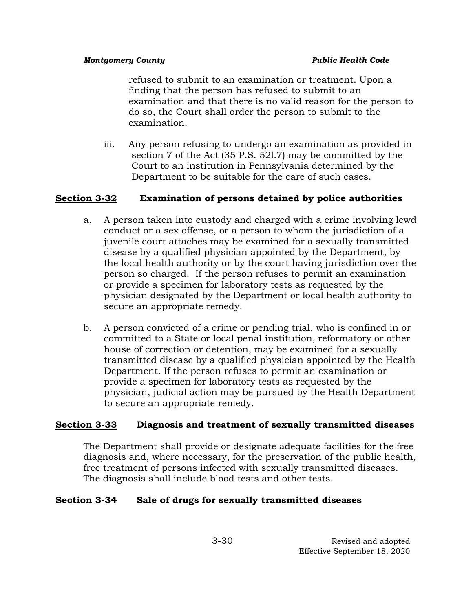refused to submit to an examination or treatment. Upon a finding that the person has refused to submit to an examination and that there is no valid reason for the person to do so, the Court shall order the person to submit to the examination.

iii. Any person refusing to undergo an examination as provided in section 7 of the Act (35 P.S. 52l.7) may be committed by the Court to an institution in Pennsylvania determined by the Department to be suitable for the care of such cases.

# **Section 3-32 Examination of persons detained by police authorities**

- a. A person taken into custody and charged with a crime involving lewd conduct or a sex offense, or a person to whom the jurisdiction of a juvenile court attaches may be examined for a sexually transmitted disease by a qualified physician appointed by the Department, by the local health authority or by the court having jurisdiction over the person so charged. If the person refuses to permit an examination or provide a specimen for laboratory tests as requested by the physician designated by the Department or local health authority to secure an appropriate remedy.
- b. A person convicted of a crime or pending trial, who is confined in or committed to a State or local penal institution, reformatory or other house of correction or detention, may be examined for a sexually transmitted disease by a qualified physician appointed by the Health Department. If the person refuses to permit an examination or provide a specimen for laboratory tests as requested by the physician, judicial action may be pursued by the Health Department to secure an appropriate remedy.

# **Section 3-33 Diagnosis and treatment of sexually transmitted diseases**

The Department shall provide or designate adequate facilities for the free diagnosis and, where necessary, for the preservation of the public health, free treatment of persons infected with sexually transmitted diseases. The diagnosis shall include blood tests and other tests.

# **Section 3-34 Sale of drugs for sexually transmitted diseases**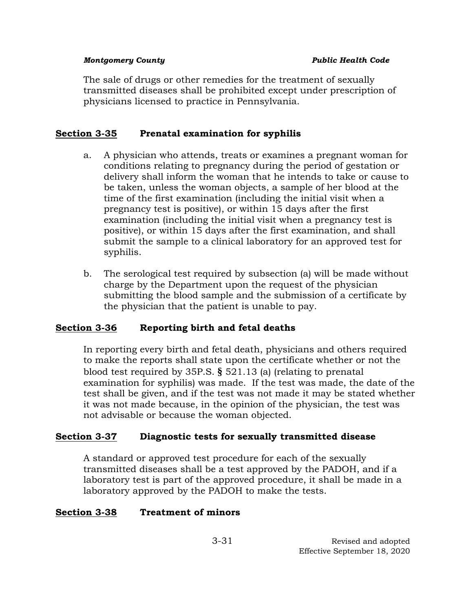The sale of drugs or other remedies for the treatment of sexually transmitted diseases shall be prohibited except under prescription of physicians licensed to practice in Pennsylvania.

# **Section 3-35 Prenatal examination for syphilis**

- a. A physician who attends, treats or examines a pregnant woman for conditions relating to pregnancy during the period of gestation or delivery shall inform the woman that he intends to take or cause to be taken, unless the woman objects, a sample of her blood at the time of the first examination (including the initial visit when a pregnancy test is positive), or within 15 days after the first examination (including the initial visit when a pregnancy test is positive), or within 15 days after the first examination, and shall submit the sample to a clinical laboratory for an approved test for syphilis.
- b. The serological test required by subsection (a) will be made without charge by the Department upon the request of the physician submitting the blood sample and the submission of a certificate by the physician that the patient is unable to pay.

# **Section 3-36 Reporting birth and fetal deaths**

In reporting every birth and fetal death, physicians and others required to make the reports shall state upon the certificate whether or not the blood test required by 35P.S. **§** 521.13 (a) (relating to prenatal examination for syphilis) was made. If the test was made, the date of the test shall be given, and if the test was not made it may be stated whether it was not made because, in the opinion of the physician, the test was not advisable or because the woman objected.

## **Section 3-37 Diagnostic tests for sexually transmitted disease**

A standard or approved test procedure for each of the sexually transmitted diseases shall be a test approved by the PADOH, and if a laboratory test is part of the approved procedure, it shall be made in a laboratory approved by the PADOH to make the tests.

## **Section 3-38 Treatment of minors**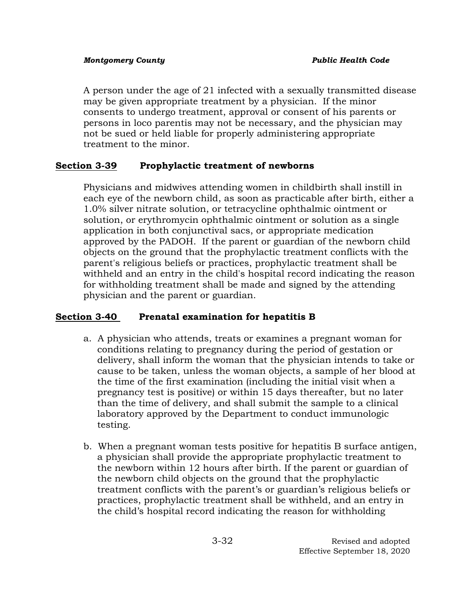A person under the age of 21 infected with a sexually transmitted disease may be given appropriate treatment by a physician. If the minor consents to undergo treatment, approval or consent of his parents or persons in loco parentis may not be necessary, and the physician may not be sued or held liable for properly administering appropriate treatment to the minor.

# **Section 3-39 Prophylactic treatment of newborns**

Physicians and midwives attending women in childbirth shall instill in each eye of the newborn child, as soon as practicable after birth, either a 1.0% silver nitrate solution, or tetracycline ophthalmic ointment or solution, or erythromycin ophthalmic ointment or solution as a single application in both conjunctival sacs, or appropriate medication approved by the PADOH. If the parent or guardian of the newborn child objects on the ground that the prophylactic treatment conflicts with the parent's religious beliefs or practices, prophylactic treatment shall be withheld and an entry in the child's hospital record indicating the reason for withholding treatment shall be made and signed by the attending physician and the parent or guardian.

# **Section 3-40 Prenatal examination for hepatitis B**

- a. A physician who attends, treats or examines a pregnant woman for conditions relating to pregnancy during the period of gestation or delivery, shall inform the woman that the physician intends to take or cause to be taken, unless the woman objects, a sample of her blood at the time of the first examination (including the initial visit when a pregnancy test is positive) or within 15 days thereafter, but no later than the time of delivery, and shall submit the sample to a clinical laboratory approved by the Department to conduct immunologic testing.
- b. When a pregnant woman tests positive for hepatitis B surface antigen, a physician shall provide the appropriate prophylactic treatment to the newborn within 12 hours after birth. If the parent or guardian of the newborn child objects on the ground that the prophylactic treatment conflicts with the parent's or guardian's religious beliefs or practices, prophylactic treatment shall be withheld, and an entry in the child's hospital record indicating the reason for withholding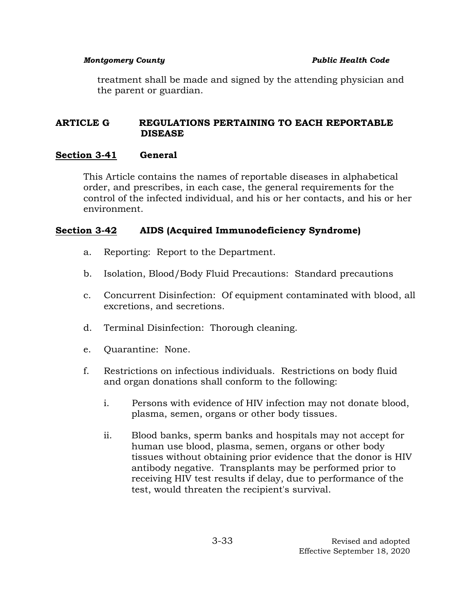treatment shall be made and signed by the attending physician and the parent or guardian.

## **ARTICLE G REGULATIONS PERTAINING TO EACH REPORTABLE DISEASE**

## **Section 3-41 General**

This Article contains the names of reportable diseases in alphabetical order, and prescribes, in each case, the general requirements for the control of the infected individual, and his or her contacts, and his or her environment.

# **Section 3-42 AIDS (Acquired Immunodeficiency Syndrome)**

- a. Reporting: Report to the Department.
- b. Isolation, Blood/Body Fluid Precautions: Standard precautions
- c. Concurrent Disinfection: Of equipment contaminated with blood, all excretions, and secretions.
- d. Terminal Disinfection: Thorough cleaning.
- e. Quarantine: None.
- f. Restrictions on infectious individuals. Restrictions on body fluid and organ donations shall conform to the following:
	- i. Persons with evidence of HIV infection may not donate blood, plasma, semen, organs or other body tissues.
	- ii. Blood banks, sperm banks and hospitals may not accept for human use blood, plasma, semen, organs or other body tissues without obtaining prior evidence that the donor is HIV antibody negative. Transplants may be performed prior to receiving HIV test results if delay, due to performance of the test, would threaten the recipient's survival.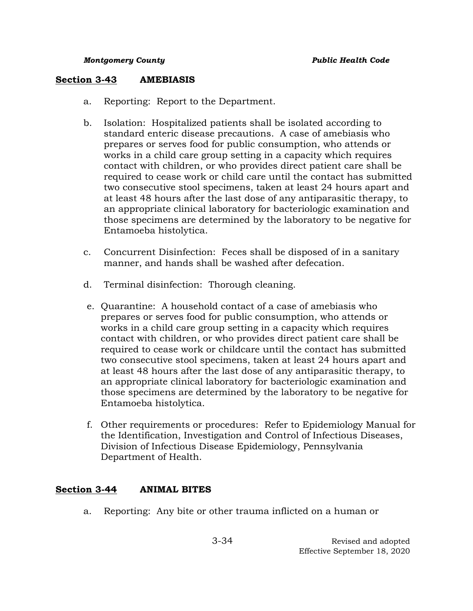### **Section 3-43 AMEBIASIS**

- a. Reporting: Report to the Department.
- b. Isolation: Hospitalized patients shall be isolated according to standard enteric disease precautions. A case of amebiasis who prepares or serves food for public consumption, who attends or works in a child care group setting in a capacity which requires contact with children, or who provides direct patient care shall be required to cease work or child care until the contact has submitted two consecutive stool specimens, taken at least 24 hours apart and at least 48 hours after the last dose of any antiparasitic therapy, to an appropriate clinical laboratory for bacteriologic examination and those specimens are determined by the laboratory to be negative for Entamoeba histolytica.
- c. Concurrent Disinfection: Feces shall be disposed of in a sanitary manner, and hands shall be washed after defecation.
- d. Terminal disinfection: Thorough cleaning.
- e. Quarantine: A household contact of a case of amebiasis who prepares or serves food for public consumption, who attends or works in a child care group setting in a capacity which requires contact with children, or who provides direct patient care shall be required to cease work or childcare until the contact has submitted two consecutive stool specimens, taken at least 24 hours apart and at least 48 hours after the last dose of any antiparasitic therapy, to an appropriate clinical laboratory for bacteriologic examination and those specimens are determined by the laboratory to be negative for Entamoeba histolytica.
- f. Other requirements or procedures: Refer to Epidemiology Manual for the Identification, Investigation and Control of Infectious Diseases, Division of Infectious Disease Epidemiology, Pennsylvania Department of Health.

## **Section 3-44 ANIMAL BITES**

a. Reporting: Any bite or other trauma inflicted on a human or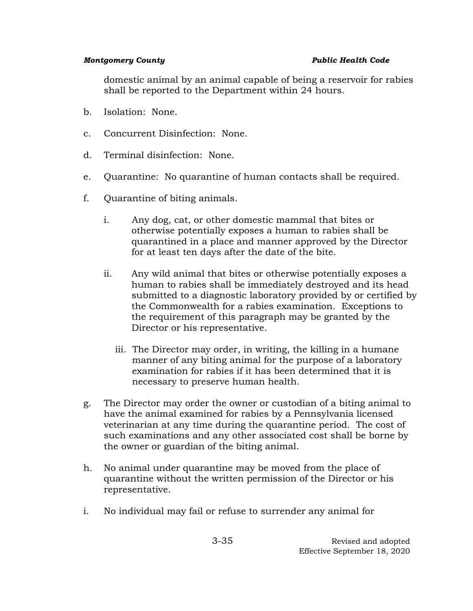domestic animal by an animal capable of being a reservoir for rabies shall be reported to the Department within 24 hours.

- b. Isolation: None.
- c. Concurrent Disinfection: None.
- d. Terminal disinfection: None.
- e. Quarantine: No quarantine of human contacts shall be required.
- f. Quarantine of biting animals.
	- i. Any dog, cat, or other domestic mammal that bites or otherwise potentially exposes a human to rabies shall be quarantined in a place and manner approved by the Director for at least ten days after the date of the bite.
	- ii. Any wild animal that bites or otherwise potentially exposes a human to rabies shall be immediately destroyed and its head submitted to a diagnostic laboratory provided by or certified by the Commonwealth for a rabies examination. Exceptions to the requirement of this paragraph may be granted by the Director or his representative.
		- iii. The Director may order, in writing, the killing in a humane manner of any biting animal for the purpose of a laboratory examination for rabies if it has been determined that it is necessary to preserve human health.
- g. The Director may order the owner or custodian of a biting animal to have the animal examined for rabies by a Pennsylvania licensed veterinarian at any time during the quarantine period. The cost of such examinations and any other associated cost shall be borne by the owner or guardian of the biting animal.
- h. No animal under quarantine may be moved from the place of quarantine without the written permission of the Director or his representative.
- i. No individual may fail or refuse to surrender any animal for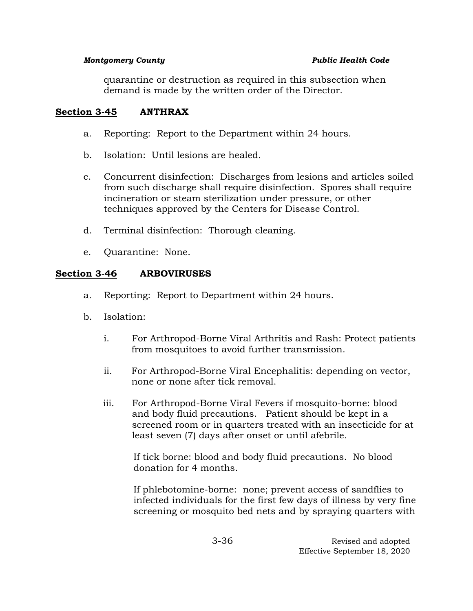quarantine or destruction as required in this subsection when demand is made by the written order of the Director.

# **Section 3-45 ANTHRAX**

- a. Reporting: Report to the Department within 24 hours.
- b. Isolation: Until lesions are healed.
- c. Concurrent disinfection: Discharges from lesions and articles soiled from such discharge shall require disinfection. Spores shall require incineration or steam sterilization under pressure, or other techniques approved by the Centers for Disease Control.
- d. Terminal disinfection: Thorough cleaning.
- e. Quarantine: None.

# **Section 3-46 ARBOVIRUSES**

- a. Reporting: Report to Department within 24 hours.
- b. Isolation:
	- i. For Arthropod-Borne Viral Arthritis and Rash: Protect patients from mosquitoes to avoid further transmission.
	- ii. For Arthropod-Borne Viral Encephalitis: depending on vector, none or none after tick removal.
	- iii. For Arthropod-Borne Viral Fevers if mosquito-borne: blood and body fluid precautions. Patient should be kept in a screened room or in quarters treated with an insecticide for at least seven (7) days after onset or until afebrile.

If tick borne: blood and body fluid precautions. No blood donation for 4 months.

If phlebotomine-borne: none; prevent access of sandflies to infected individuals for the first few days of illness by very fine screening or mosquito bed nets and by spraying quarters with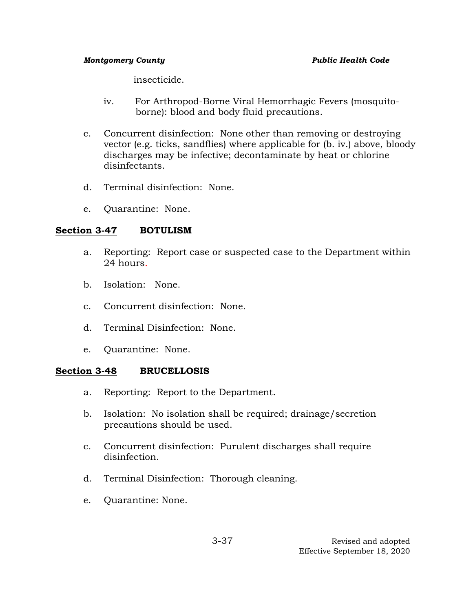insecticide.

- iv. For Arthropod-Borne Viral Hemorrhagic Fevers (mosquitoborne): blood and body fluid precautions.
- c. Concurrent disinfection: None other than removing or destroying vector (e.g. ticks, sandflies) where applicable for (b. iv.) above, bloody discharges may be infective; decontaminate by heat or chlorine disinfectants.
- d. Terminal disinfection: None.
- e. Quarantine: None.

# **Section 3-47 BOTULISM**

- a. Reporting: Report case or suspected case to the Department within 24 hours.
- b. Isolation: None.
- c. Concurrent disinfection: None.
- d. Terminal Disinfection: None.
- e. Quarantine: None.

## **Section 3-48 BRUCELLOSIS**

- a. Reporting: Report to the Department.
- b. Isolation: No isolation shall be required; drainage/secretion precautions should be used.
- c. Concurrent disinfection: Purulent discharges shall require disinfection.
- d. Terminal Disinfection: Thorough cleaning.
- e. Quarantine: None.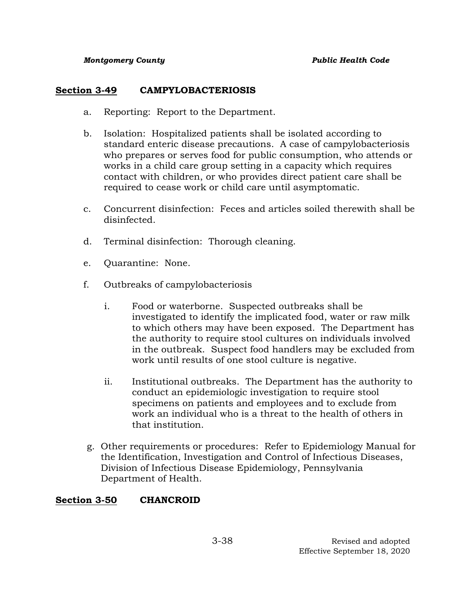# **Section 3-49 CAMPYLOBACTERIOSIS**

- a. Reporting: Report to the Department.
- b. Isolation: Hospitalized patients shall be isolated according to standard enteric disease precautions. A case of campylobacteriosis who prepares or serves food for public consumption, who attends or works in a child care group setting in a capacity which requires contact with children, or who provides direct patient care shall be required to cease work or child care until asymptomatic.
- c. Concurrent disinfection: Feces and articles soiled therewith shall be disinfected.
- d. Terminal disinfection: Thorough cleaning.
- e. Quarantine: None.
- f. Outbreaks of campylobacteriosis
	- i. Food or waterborne. Suspected outbreaks shall be investigated to identify the implicated food, water or raw milk to which others may have been exposed. The Department has the authority to require stool cultures on individuals involved in the outbreak. Suspect food handlers may be excluded from work until results of one stool culture is negative.
	- ii. Institutional outbreaks. The Department has the authority to conduct an epidemiologic investigation to require stool specimens on patients and employees and to exclude from work an individual who is a threat to the health of others in that institution.
- g. Other requirements or procedures: Refer to Epidemiology Manual for the Identification, Investigation and Control of Infectious Diseases, Division of Infectious Disease Epidemiology, Pennsylvania Department of Health.

# **Section 3-50 CHANCROID**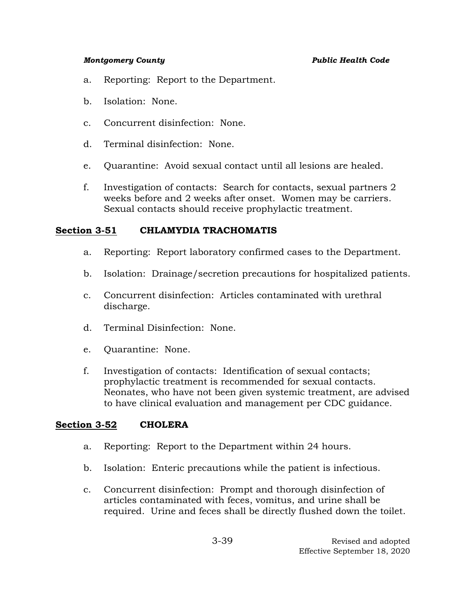- a. Reporting: Report to the Department.
- b. Isolation: None.
- c. Concurrent disinfection: None.
- d. Terminal disinfection: None.
- e. Quarantine: Avoid sexual contact until all lesions are healed.
- f. Investigation of contacts: Search for contacts, sexual partners 2 weeks before and 2 weeks after onset. Women may be carriers. Sexual contacts should receive prophylactic treatment.

## **Section 3-51 CHLAMYDIA TRACHOMATIS**

- a. Reporting: Report laboratory confirmed cases to the Department.
- b. Isolation: Drainage/secretion precautions for hospitalized patients.
- c. Concurrent disinfection: Articles contaminated with urethral discharge.
- d. Terminal Disinfection: None.
- e. Quarantine: None.
- f. Investigation of contacts: Identification of sexual contacts; prophylactic treatment is recommended for sexual contacts. Neonates, who have not been given systemic treatment, are advised to have clinical evaluation and management per CDC guidance.

## **Section 3-52 CHOLERA**

- a. Reporting: Report to the Department within 24 hours.
- b. Isolation: Enteric precautions while the patient is infectious.
- c. Concurrent disinfection: Prompt and thorough disinfection of articles contaminated with feces, vomitus, and urine shall be required. Urine and feces shall be directly flushed down the toilet.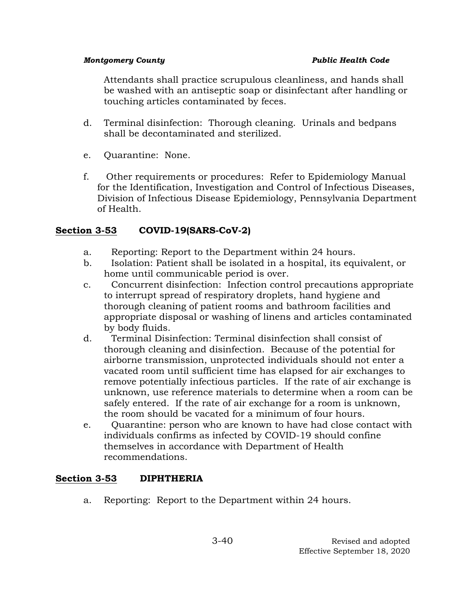Attendants shall practice scrupulous cleanliness, and hands shall be washed with an antiseptic soap or disinfectant after handling or touching articles contaminated by feces.

- d. Terminal disinfection: Thorough cleaning. Urinals and bedpans shall be decontaminated and sterilized.
- e. Quarantine: None.
- f. Other requirements or procedures: Refer to Epidemiology Manual for the Identification, Investigation and Control of Infectious Diseases, Division of Infectious Disease Epidemiology, Pennsylvania Department of Health.

# **Section 3-53 COVID-19(SARS-CoV-2)**

- a. Reporting: Report to the Department within 24 hours.
- b. Isolation: Patient shall be isolated in a hospital, its equivalent, or home until communicable period is over.
- c. Concurrent disinfection: Infection control precautions appropriate to interrupt spread of respiratory droplets, hand hygiene and thorough cleaning of patient rooms and bathroom facilities and appropriate disposal or washing of linens and articles contaminated by body fluids.
- d. Terminal Disinfection: Terminal disinfection shall consist of thorough cleaning and disinfection. Because of the potential for airborne transmission, unprotected individuals should not enter a vacated room until sufficient time has elapsed for air exchanges to remove potentially infectious particles. If the rate of air exchange is unknown, use reference materials to determine when a room can be safely entered. If the rate of air exchange for a room is unknown, the room should be vacated for a minimum of four hours.
- e. Quarantine: person who are known to have had close contact with individuals confirms as infected by COVID-19 should confine themselves in accordance with Department of Health recommendations.

# **Section 3-53 DIPHTHERIA**

a. Reporting: Report to the Department within 24 hours.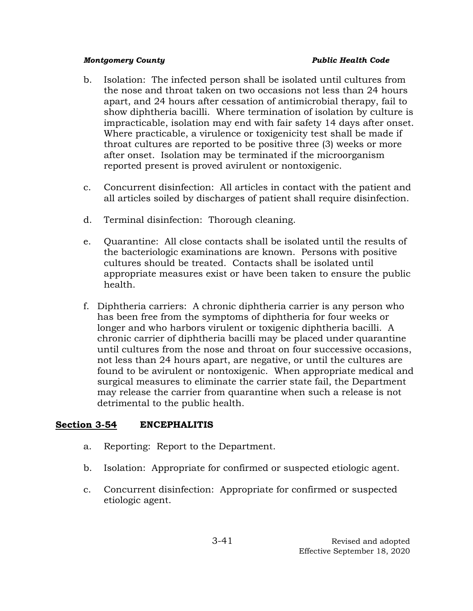- b. Isolation: The infected person shall be isolated until cultures from the nose and throat taken on two occasions not less than 24 hours apart, and 24 hours after cessation of antimicrobial therapy, fail to show diphtheria bacilli. Where termination of isolation by culture is impracticable, isolation may end with fair safety 14 days after onset. Where practicable, a virulence or toxigenicity test shall be made if throat cultures are reported to be positive three (3) weeks or more after onset. Isolation may be terminated if the microorganism reported present is proved avirulent or nontoxigenic.
- c. Concurrent disinfection: All articles in contact with the patient and all articles soiled by discharges of patient shall require disinfection.
- d. Terminal disinfection: Thorough cleaning.
- e. Quarantine: All close contacts shall be isolated until the results of the bacteriologic examinations are known. Persons with positive cultures should be treated. Contacts shall be isolated until appropriate measures exist or have been taken to ensure the public health.
- f. Diphtheria carriers: A chronic diphtheria carrier is any person who has been free from the symptoms of diphtheria for four weeks or longer and who harbors virulent or toxigenic diphtheria bacilli. A chronic carrier of diphtheria bacilli may be placed under quarantine until cultures from the nose and throat on four successive occasions, not less than 24 hours apart, are negative, or until the cultures are found to be avirulent or nontoxigenic. When appropriate medical and surgical measures to eliminate the carrier state fail, the Department may release the carrier from quarantine when such a release is not detrimental to the public health.

# **Section 3-54 ENCEPHALITIS**

- a. Reporting: Report to the Department.
- b. Isolation: Appropriate for confirmed or suspected etiologic agent.
- c. Concurrent disinfection: Appropriate for confirmed or suspected etiologic agent.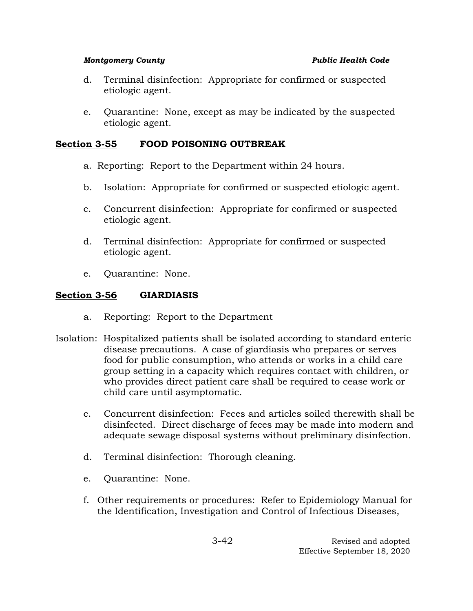- d. Terminal disinfection: Appropriate for confirmed or suspected etiologic agent.
- e. Quarantine: None, except as may be indicated by the suspected etiologic agent.

# **Section 3-55 FOOD POISONING OUTBREAK**

- a. Reporting: Report to the Department within 24 hours.
- b. Isolation: Appropriate for confirmed or suspected etiologic agent.
- c. Concurrent disinfection: Appropriate for confirmed or suspected etiologic agent.
- d. Terminal disinfection: Appropriate for confirmed or suspected etiologic agent.
- e. Quarantine: None.

# **Section 3-56 GIARDIASIS**

- a. Reporting: Report to the Department
- Isolation: Hospitalized patients shall be isolated according to standard enteric disease precautions. A case of giardiasis who prepares or serves food for public consumption, who attends or works in a child care group setting in a capacity which requires contact with children, or who provides direct patient care shall be required to cease work or child care until asymptomatic.
	- c. Concurrent disinfection: Feces and articles soiled therewith shall be disinfected. Direct discharge of feces may be made into modern and adequate sewage disposal systems without preliminary disinfection.
	- d. Terminal disinfection: Thorough cleaning.
	- e. Quarantine: None.
	- f. Other requirements or procedures: Refer to Epidemiology Manual for the Identification, Investigation and Control of Infectious Diseases,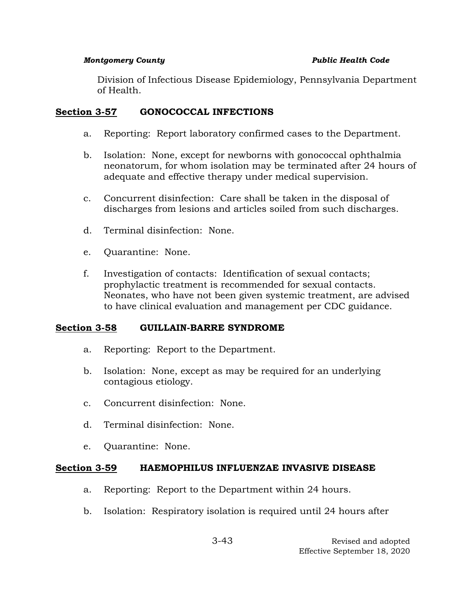Division of Infectious Disease Epidemiology, Pennsylvania Department of Health.

# **Section 3-57 GONOCOCCAL INFECTIONS**

- a. Reporting: Report laboratory confirmed cases to the Department.
- b. Isolation: None, except for newborns with gonococcal ophthalmia neonatorum, for whom isolation may be terminated after 24 hours of adequate and effective therapy under medical supervision.
- c. Concurrent disinfection: Care shall be taken in the disposal of discharges from lesions and articles soiled from such discharges.
- d. Terminal disinfection: None.
- e. Quarantine: None.
- f. Investigation of contacts: Identification of sexual contacts; prophylactic treatment is recommended for sexual contacts. Neonates, who have not been given systemic treatment, are advised to have clinical evaluation and management per CDC guidance.

# **Section 3-58 GUILLAIN-BARRE SYNDROME**

- a. Reporting: Report to the Department.
- b. Isolation: None, except as may be required for an underlying contagious etiology.
- c. Concurrent disinfection: None.
- d. Terminal disinfection: None.
- e. Quarantine: None.

## **Section 3-59 HAEMOPHILUS INFLUENZAE INVASIVE DISEASE**

- a. Reporting: Report to the Department within 24 hours.
- b. Isolation: Respiratory isolation is required until 24 hours after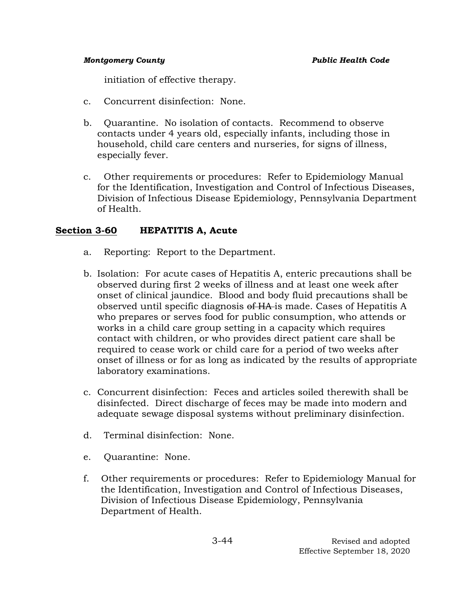initiation of effective therapy.

- c. Concurrent disinfection: None.
- b. Quarantine. No isolation of contacts. Recommend to observe contacts under 4 years old, especially infants, including those in household, child care centers and nurseries, for signs of illness, especially fever.
- c. Other requirements or procedures: Refer to Epidemiology Manual for the Identification, Investigation and Control of Infectious Diseases, Division of Infectious Disease Epidemiology, Pennsylvania Department of Health.

# **Section 3-60 HEPATITIS A, Acute**

- a. Reporting: Report to the Department.
- b. Isolation: For acute cases of Hepatitis A, enteric precautions shall be observed during first 2 weeks of illness and at least one week after onset of clinical jaundice. Blood and body fluid precautions shall be observed until specific diagnosis of HA is made. Cases of Hepatitis A who prepares or serves food for public consumption, who attends or works in a child care group setting in a capacity which requires contact with children, or who provides direct patient care shall be required to cease work or child care for a period of two weeks after onset of illness or for as long as indicated by the results of appropriate laboratory examinations.
- c. Concurrent disinfection: Feces and articles soiled therewith shall be disinfected. Direct discharge of feces may be made into modern and adequate sewage disposal systems without preliminary disinfection.
- d. Terminal disinfection: None.
- e. Quarantine: None.
- f. Other requirements or procedures: Refer to Epidemiology Manual for the Identification, Investigation and Control of Infectious Diseases, Division of Infectious Disease Epidemiology, Pennsylvania Department of Health.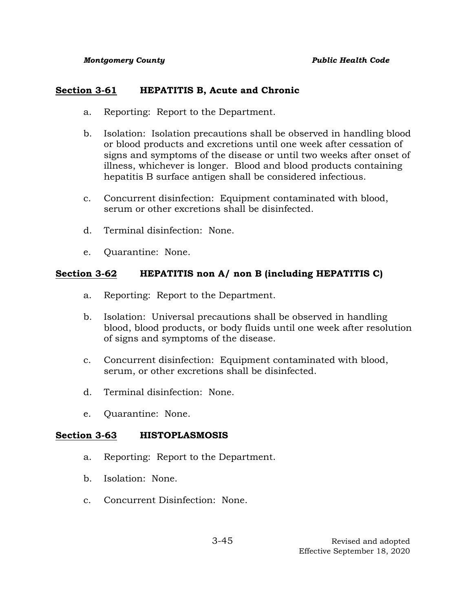## **Section 3-61 HEPATITIS B, Acute and Chronic**

- a. Reporting: Report to the Department.
- b. Isolation: Isolation precautions shall be observed in handling blood or blood products and excretions until one week after cessation of signs and symptoms of the disease or until two weeks after onset of illness, whichever is longer. Blood and blood products containing hepatitis B surface antigen shall be considered infectious.
- c. Concurrent disinfection: Equipment contaminated with blood, serum or other excretions shall be disinfected.
- d. Terminal disinfection: None.
- e. Quarantine: None.

# **Section 3-62 HEPATITIS non A/ non B (including HEPATITIS C)**

- a. Reporting: Report to the Department.
- b. Isolation: Universal precautions shall be observed in handling blood, blood products, or body fluids until one week after resolution of signs and symptoms of the disease.
- c. Concurrent disinfection: Equipment contaminated with blood, serum, or other excretions shall be disinfected.
- d. Terminal disinfection: None.
- e. Quarantine: None.

## **Section 3-63 HISTOPLASMOSIS**

- a. Reporting: Report to the Department.
- b. Isolation: None.
- c. Concurrent Disinfection: None.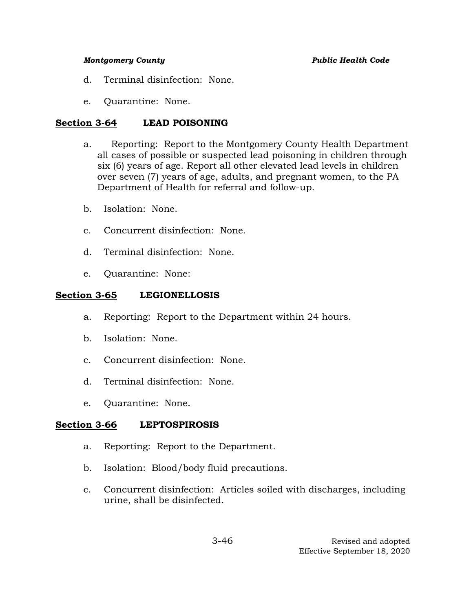- d. Terminal disinfection: None.
- e. Quarantine: None.

# **Section 3-64 LEAD POISONING**

- a. Reporting: Report to the Montgomery County Health Department all cases of possible or suspected lead poisoning in children through six (6) years of age. Report all other elevated lead levels in children over seven (7) years of age, adults, and pregnant women, to the PA Department of Health for referral and follow-up.
- b. Isolation: None.
- c. Concurrent disinfection: None.
- d. Terminal disinfection: None.
- e. Quarantine: None:

# **Section 3-65 LEGIONELLOSIS**

- a. Reporting: Report to the Department within 24 hours.
- b. Isolation: None.
- c. Concurrent disinfection: None.
- d. Terminal disinfection: None.
- e. Quarantine: None.

# **Section 3-66 LEPTOSPIROSIS**

- a. Reporting: Report to the Department.
- b. Isolation: Blood/body fluid precautions.
- c. Concurrent disinfection: Articles soiled with discharges, including urine, shall be disinfected.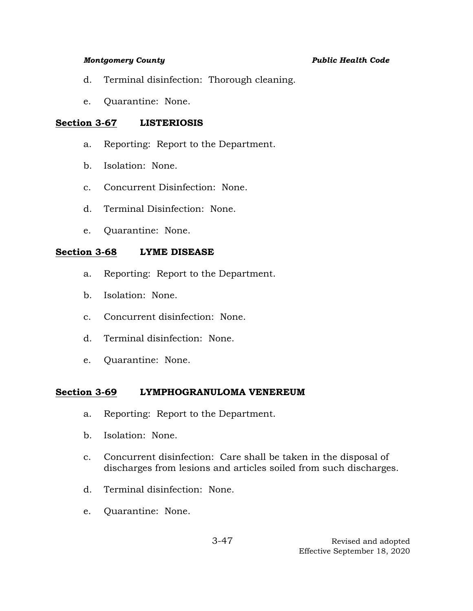- d. Terminal disinfection: Thorough cleaning.
- e. Quarantine: None.

## **Section 3-67 LISTERIOSIS**

- a. Reporting: Report to the Department.
- b. Isolation: None.
- c. Concurrent Disinfection: None.
- d. Terminal Disinfection: None.
- e. Quarantine: None.

# **Section 3-68 LYME DISEASE**

- a. Reporting: Report to the Department.
- b. Isolation: None.
- c. Concurrent disinfection: None.
- d. Terminal disinfection: None.
- e. Quarantine: None.

# **Section 3-69 LYMPHOGRANULOMA VENEREUM**

- a. Reporting: Report to the Department.
- b. Isolation: None.
- c. Concurrent disinfection: Care shall be taken in the disposal of discharges from lesions and articles soiled from such discharges.
- d. Terminal disinfection: None.
- e. Quarantine: None.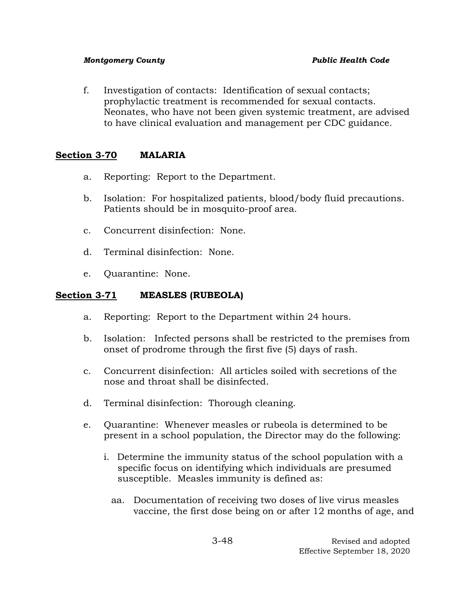f. Investigation of contacts: Identification of sexual contacts; prophylactic treatment is recommended for sexual contacts. Neonates, who have not been given systemic treatment, are advised to have clinical evaluation and management per CDC guidance.

# **Section 3-70 MALARIA**

- a. Reporting: Report to the Department.
- b. Isolation: For hospitalized patients, blood/body fluid precautions. Patients should be in mosquito-proof area.
- c. Concurrent disinfection: None.
- d. Terminal disinfection: None.
- e. Quarantine: None.

# **Section 3-71 MEASLES (RUBEOLA)**

- a. Reporting: Report to the Department within 24 hours.
- b. Isolation: Infected persons shall be restricted to the premises from onset of prodrome through the first five (5) days of rash.
- c. Concurrent disinfection: All articles soiled with secretions of the nose and throat shall be disinfected.
- d. Terminal disinfection: Thorough cleaning.
- e. Quarantine: Whenever measles or rubeola is determined to be present in a school population, the Director may do the following:
	- i. Determine the immunity status of the school population with a specific focus on identifying which individuals are presumed susceptible. Measles immunity is defined as:
		- aa. Documentation of receiving two doses of live virus measles vaccine, the first dose being on or after 12 months of age, and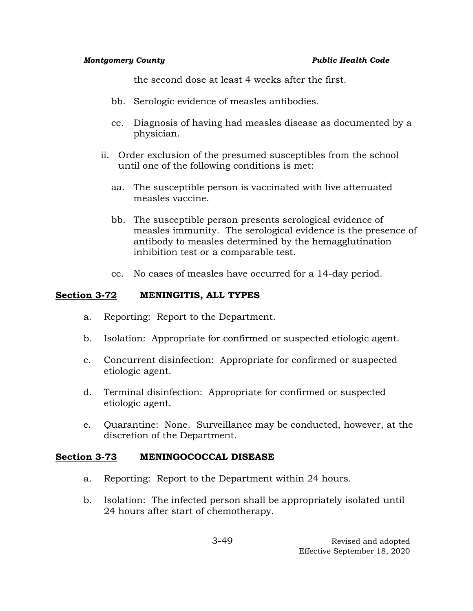the second dose at least 4 weeks after the first.

- bb. Serologic evidence of measles antibodies.
- cc. Diagnosis of having had measles disease as documented by a physician.
- ii. Order exclusion of the presumed susceptibles from the school until one of the following conditions is met:
	- aa. The susceptible person is vaccinated with live attenuated measles vaccine.
	- bb. The susceptible person presents serological evidence of measles immunity. The serological evidence is the presence of antibody to measles determined by the hemagglutination inhibition test or a comparable test.
	- cc. No cases of measles have occurred for a 14-day period.

## **Section 3-72 MENINGITIS, ALL TYPES**

- a. Reporting: Report to the Department.
- b. Isolation: Appropriate for confirmed or suspected etiologic agent.
- c. Concurrent disinfection: Appropriate for confirmed or suspected etiologic agent.
- d. Terminal disinfection: Appropriate for confirmed or suspected etiologic agent.
- e. Quarantine: None. Surveillance may be conducted, however, at the discretion of the Department.

## **Section 3-73 MENINGOCOCCAL DISEASE**

- a. Reporting: Report to the Department within 24 hours.
- b. Isolation: The infected person shall be appropriately isolated until 24 hours after start of chemotherapy.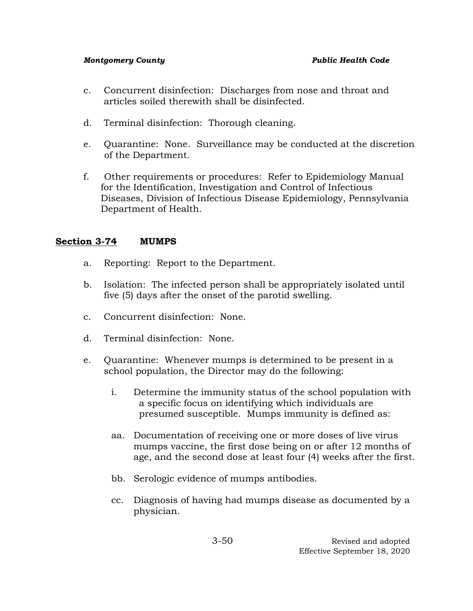- c. Concurrent disinfection: Discharges from nose and throat and articles soiled therewith shall be disinfected.
- d. Terminal disinfection: Thorough cleaning.
- e. Quarantine: None. Surveillance may be conducted at the discretion of the Department.
- f. Other requirements or procedures: Refer to Epidemiology Manual for the Identification, Investigation and Control of Infectious Diseases, Division of Infectious Disease Epidemiology, Pennsylvania Department of Health.

# **Section 3-74 MUMPS**

- a. Reporting: Report to the Department.
- b. Isolation: The infected person shall be appropriately isolated until five (5) days after the onset of the parotid swelling.
- c. Concurrent disinfection: None.
- d. Terminal disinfection: None.
- e. Quarantine: Whenever mumps is determined to be present in a school population, the Director may do the following:
	- i. Determine the immunity status of the school population with a specific focus on identifying which individuals are presumed susceptible. Mumps immunity is defined as:
	- aa. Documentation of receiving one or more doses of live virus mumps vaccine, the first dose being on or after 12 months of age, and the second dose at least four (4) weeks after the first.
	- bb. Serologic evidence of mumps antibodies.
	- cc. Diagnosis of having had mumps disease as documented by a physician.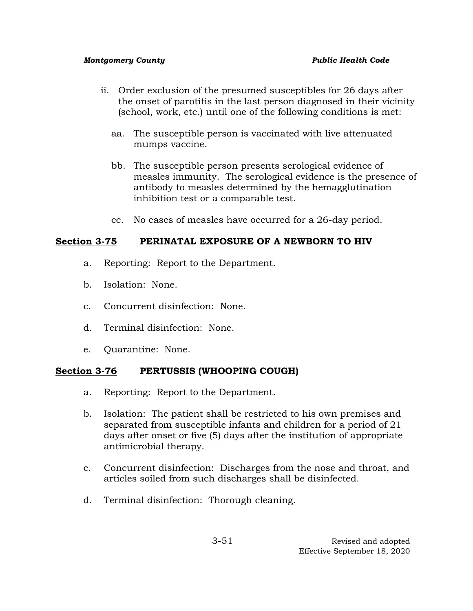- ii. Order exclusion of the presumed susceptibles for 26 days after the onset of parotitis in the last person diagnosed in their vicinity (school, work, etc.) until one of the following conditions is met:
	- aa. The susceptible person is vaccinated with live attenuated mumps vaccine.
	- bb. The susceptible person presents serological evidence of measles immunity. The serological evidence is the presence of antibody to measles determined by the hemagglutination inhibition test or a comparable test.
	- cc. No cases of measles have occurred for a 26-day period.

# **Section 3-75 PERINATAL EXPOSURE OF A NEWBORN TO HIV**

- a. Reporting: Report to the Department.
- b. Isolation: None.
- c. Concurrent disinfection: None.
- d. Terminal disinfection: None.
- e. Quarantine: None.

# **Section 3-76 PERTUSSIS (WHOOPING COUGH)**

- a. Reporting: Report to the Department.
- b. Isolation: The patient shall be restricted to his own premises and separated from susceptible infants and children for a period of 21 days after onset or five (5) days after the institution of appropriate antimicrobial therapy.
- c. Concurrent disinfection: Discharges from the nose and throat, and articles soiled from such discharges shall be disinfected.
- d. Terminal disinfection: Thorough cleaning.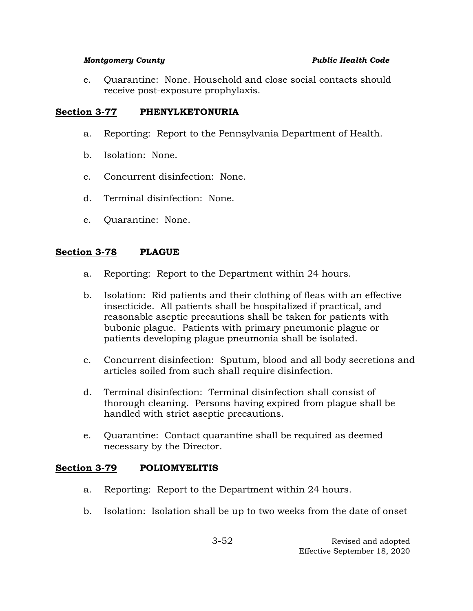e. Quarantine: None. Household and close social contacts should receive post-exposure prophylaxis.

# Section 3-77 PHENYLKETONURIA

- a. Reporting: Report to the Pennsylvania Department of Health.
- b. Isolation: None.
- c. Concurrent disinfection: None.
- d. Terminal disinfection: None.
- e. Quarantine: None.

## **Section 3-78 PLAGUE**

- a. Reporting: Report to the Department within 24 hours.
- b. Isolation: Rid patients and their clothing of fleas with an effective insecticide. All patients shall be hospitalized if practical, and reasonable aseptic precautions shall be taken for patients with bubonic plague. Patients with primary pneumonic plague or patients developing plague pneumonia shall be isolated.
- c. Concurrent disinfection: Sputum, blood and all body secretions and articles soiled from such shall require disinfection.
- d. Terminal disinfection: Terminal disinfection shall consist of thorough cleaning. Persons having expired from plague shall be handled with strict aseptic precautions.
- e. Quarantine: Contact quarantine shall be required as deemed necessary by the Director.

## **Section 3-79 POLIOMYELITIS**

- a. Reporting: Report to the Department within 24 hours.
- b. Isolation: Isolation shall be up to two weeks from the date of onset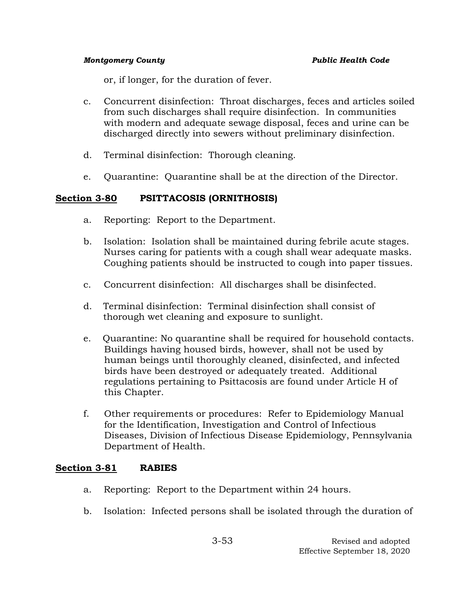or, if longer, for the duration of fever.

- c. Concurrent disinfection: Throat discharges, feces and articles soiled from such discharges shall require disinfection. In communities with modern and adequate sewage disposal, feces and urine can be discharged directly into sewers without preliminary disinfection.
- d. Terminal disinfection: Thorough cleaning.
- e. Quarantine: Quarantine shall be at the direction of the Director.

# **Section 3-80 PSITTACOSIS (ORNITHOSIS)**

- a. Reporting: Report to the Department.
- b. Isolation: Isolation shall be maintained during febrile acute stages. Nurses caring for patients with a cough shall wear adequate masks. Coughing patients should be instructed to cough into paper tissues.
- c. Concurrent disinfection: All discharges shall be disinfected.
- d. Terminal disinfection: Terminal disinfection shall consist of thorough wet cleaning and exposure to sunlight.
- e. Quarantine: No quarantine shall be required for household contacts. Buildings having housed birds, however, shall not be used by human beings until thoroughly cleaned, disinfected, and infected birds have been destroyed or adequately treated. Additional regulations pertaining to Psittacosis are found under Article H of this Chapter.
- f. Other requirements or procedures: Refer to Epidemiology Manual for the Identification, Investigation and Control of Infectious Diseases, Division of Infectious Disease Epidemiology, Pennsylvania Department of Health.

## **Section 3-81 RABIES**

- a. Reporting: Report to the Department within 24 hours.
- b. Isolation: Infected persons shall be isolated through the duration of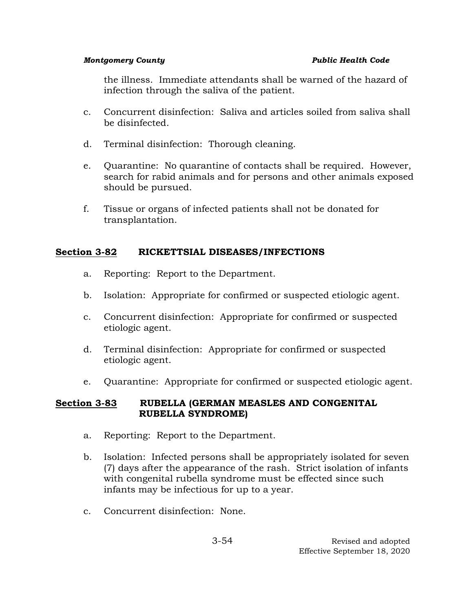the illness. Immediate attendants shall be warned of the hazard of infection through the saliva of the patient.

- c. Concurrent disinfection: Saliva and articles soiled from saliva shall be disinfected.
- d. Terminal disinfection: Thorough cleaning.
- e. Quarantine: No quarantine of contacts shall be required. However, search for rabid animals and for persons and other animals exposed should be pursued.
- f. Tissue or organs of infected patients shall not be donated for transplantation.

# **Section 3-82 RICKETTSIAL DISEASES/INFECTIONS**

- a. Reporting: Report to the Department.
- b. Isolation: Appropriate for confirmed or suspected etiologic agent.
- c. Concurrent disinfection: Appropriate for confirmed or suspected etiologic agent.
- d. Terminal disinfection: Appropriate for confirmed or suspected etiologic agent.
- e. Quarantine: Appropriate for confirmed or suspected etiologic agent.

# **Section 3-83 RUBELLA (GERMAN MEASLES AND CONGENITAL RUBELLA SYNDROME)**

- a. Reporting: Report to the Department.
- b. Isolation: Infected persons shall be appropriately isolated for seven (7) days after the appearance of the rash. Strict isolation of infants with congenital rubella syndrome must be effected since such infants may be infectious for up to a year.
- c. Concurrent disinfection: None.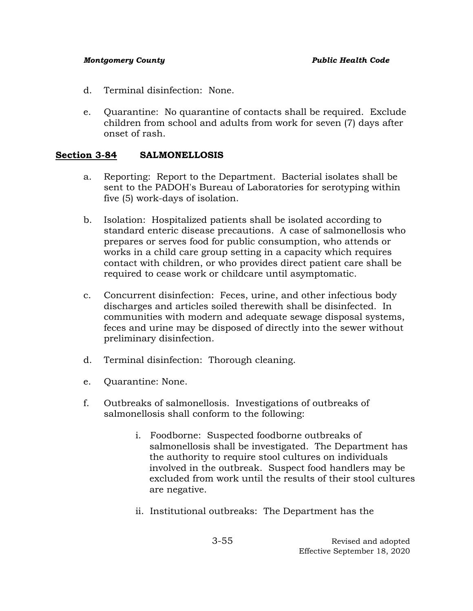- d. Terminal disinfection: None.
- e. Quarantine: No quarantine of contacts shall be required. Exclude children from school and adults from work for seven (7) days after onset of rash.

## **Section 3-84 SALMONELLOSIS**

- a. Reporting: Report to the Department. Bacterial isolates shall be sent to the PADOH's Bureau of Laboratories for serotyping within five (5) work-days of isolation.
- b. Isolation: Hospitalized patients shall be isolated according to standard enteric disease precautions. A case of salmonellosis who prepares or serves food for public consumption, who attends or works in a child care group setting in a capacity which requires contact with children, or who provides direct patient care shall be required to cease work or childcare until asymptomatic.
- c. Concurrent disinfection: Feces, urine, and other infectious body discharges and articles soiled therewith shall be disinfected. In communities with modern and adequate sewage disposal systems, feces and urine may be disposed of directly into the sewer without preliminary disinfection.
- d. Terminal disinfection: Thorough cleaning.
- e. Quarantine: None.
- f. Outbreaks of salmonellosis. Investigations of outbreaks of salmonellosis shall conform to the following:
	- i. Foodborne: Suspected foodborne outbreaks of salmonellosis shall be investigated. The Department has the authority to require stool cultures on individuals involved in the outbreak. Suspect food handlers may be excluded from work until the results of their stool cultures are negative.
	- ii. Institutional outbreaks: The Department has the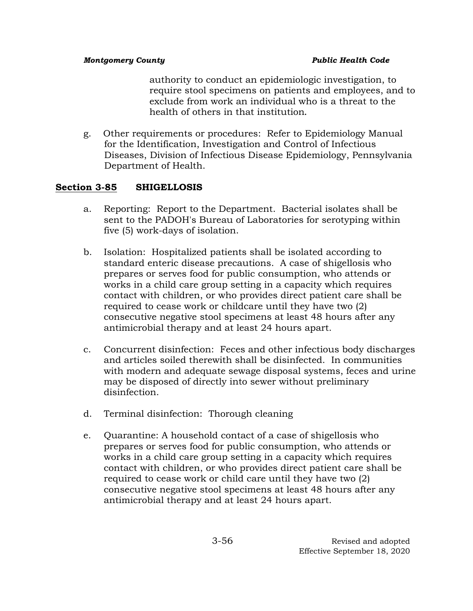authority to conduct an epidemiologic investigation, to require stool specimens on patients and employees, and to exclude from work an individual who is a threat to the health of others in that institution**.**

g. Other requirements or procedures: Refer to Epidemiology Manual for the Identification, Investigation and Control of Infectious Diseases, Division of Infectious Disease Epidemiology, Pennsylvania Department of Health.

# **Section 3-85 SHIGELLOSIS**

- a. Reporting: Report to the Department. Bacterial isolates shall be sent to the PADOH's Bureau of Laboratories for serotyping within five (5) work-days of isolation.
- b. Isolation: Hospitalized patients shall be isolated according to standard enteric disease precautions. A case of shigellosis who prepares or serves food for public consumption, who attends or works in a child care group setting in a capacity which requires contact with children, or who provides direct patient care shall be required to cease work or childcare until they have two (2) consecutive negative stool specimens at least 48 hours after any antimicrobial therapy and at least 24 hours apart.
- c. Concurrent disinfection: Feces and other infectious body discharges and articles soiled therewith shall be disinfected. In communities with modern and adequate sewage disposal systems, feces and urine may be disposed of directly into sewer without preliminary disinfection.
- d. Terminal disinfection: Thorough cleaning
- e. Quarantine: A household contact of a case of shigellosis who prepares or serves food for public consumption, who attends or works in a child care group setting in a capacity which requires contact with children, or who provides direct patient care shall be required to cease work or child care until they have two (2) consecutive negative stool specimens at least 48 hours after any antimicrobial therapy and at least 24 hours apart.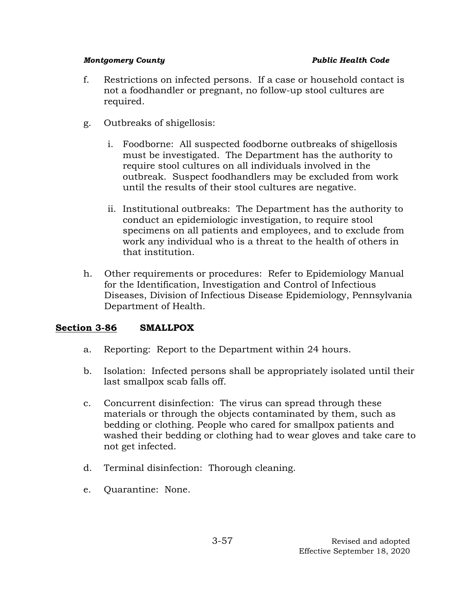- f. Restrictions on infected persons. If a case or household contact is not a foodhandler or pregnant, no follow-up stool cultures are required.
- g. Outbreaks of shigellosis:
	- i. Foodborne: All suspected foodborne outbreaks of shigellosis must be investigated. The Department has the authority to require stool cultures on all individuals involved in the outbreak. Suspect foodhandlers may be excluded from work until the results of their stool cultures are negative.
	- ii. Institutional outbreaks: The Department has the authority to conduct an epidemiologic investigation, to require stool specimens on all patients and employees, and to exclude from work any individual who is a threat to the health of others in that institution.
- h. Other requirements or procedures: Refer to Epidemiology Manual for the Identification, Investigation and Control of Infectious Diseases, Division of Infectious Disease Epidemiology, Pennsylvania Department of Health.

# **Section 3-86 SMALLPOX**

- a. Reporting: Report to the Department within 24 hours.
- b. Isolation: Infected persons shall be appropriately isolated until their last smallpox scab falls off.
- c. Concurrent disinfection: The virus can spread through these materials or through the objects contaminated by them, such as bedding or clothing. People who cared for smallpox patients and washed their bedding or clothing had to wear gloves and take care to not get infected.
- d. Terminal disinfection: Thorough cleaning.
- e. Quarantine: None.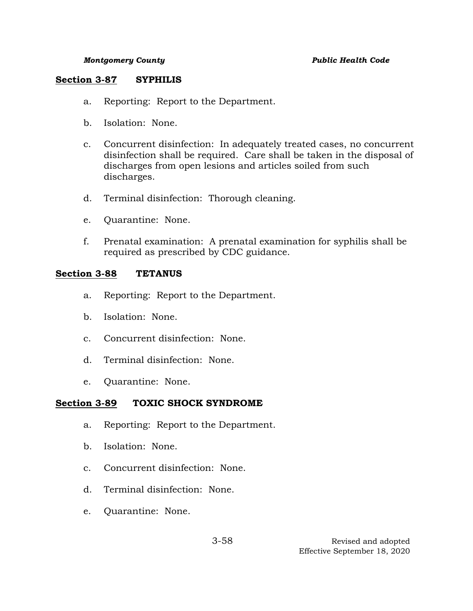### **Section 3-87 SYPHILIS**

- a. Reporting: Report to the Department.
- b. Isolation: None.
- c. Concurrent disinfection: In adequately treated cases, no concurrent disinfection shall be required. Care shall be taken in the disposal of discharges from open lesions and articles soiled from such discharges.
- d. Terminal disinfection: Thorough cleaning.
- e. Quarantine: None.
- f. Prenatal examination: A prenatal examination for syphilis shall be required as prescribed by CDC guidance.

# **Section 3-88 TETANUS**

- a. Reporting: Report to the Department.
- b. Isolation: None.
- c. Concurrent disinfection: None.
- d. Terminal disinfection: None.
- e. Quarantine: None.

# **Section 3-89 TOXIC SHOCK SYNDROME**

- a. Reporting: Report to the Department.
- b. Isolation: None.
- c. Concurrent disinfection: None.
- d. Terminal disinfection: None.
- e. Quarantine: None.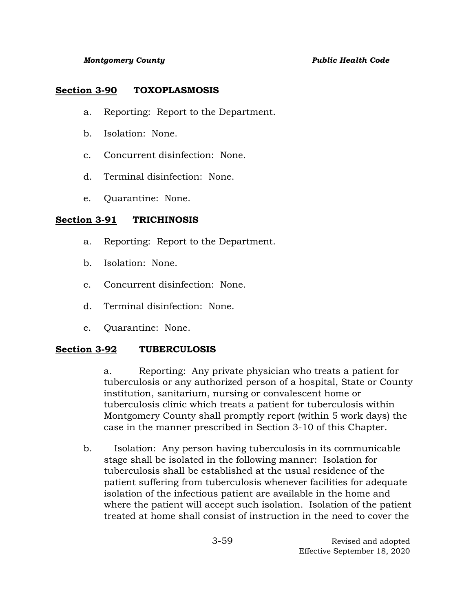## **Section 3-90 TOXOPLASMOSIS**

- a. Reporting: Report to the Department.
- b. Isolation: None.
- c. Concurrent disinfection: None.
- d. Terminal disinfection: None.
- e. Quarantine: None.

# **Section 3-91 TRICHINOSIS**

- a. Reporting: Report to the Department.
- b. Isolation: None.
- c. Concurrent disinfection: None.
- d. Terminal disinfection: None.
- e. Quarantine: None.

# **Section 3-92 TUBERCULOSIS**

a. Reporting: Any private physician who treats a patient for tuberculosis or any authorized person of a hospital, State or County institution, sanitarium, nursing or convalescent home or tuberculosis clinic which treats a patient for tuberculosis within Montgomery County shall promptly report (within 5 work days) the case in the manner prescribed in Section 3-10 of this Chapter.

b. Isolation: Any person having tuberculosis in its communicable stage shall be isolated in the following manner: Isolation for tuberculosis shall be established at the usual residence of the patient suffering from tuberculosis whenever facilities for adequate isolation of the infectious patient are available in the home and where the patient will accept such isolation. Isolation of the patient treated at home shall consist of instruction in the need to cover the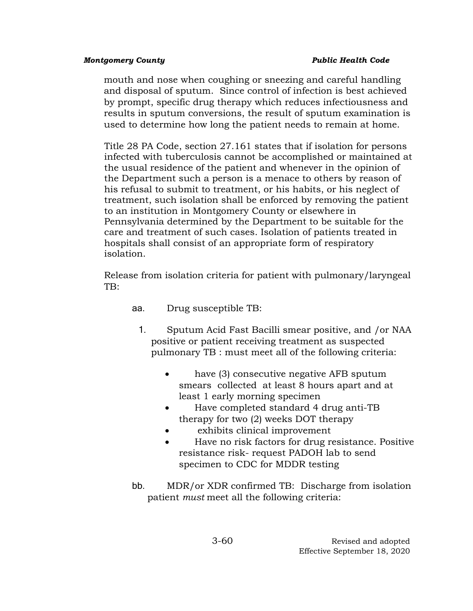mouth and nose when coughing or sneezing and careful handling and disposal of sputum. Since control of infection is best achieved by prompt, specific drug therapy which reduces infectiousness and results in sputum conversions, the result of sputum examination is used to determine how long the patient needs to remain at home.

Title 28 PA Code, section 27.161 states that if isolation for persons infected with tuberculosis cannot be accomplished or maintained at the usual residence of the patient and whenever in the opinion of the Department such a person is a menace to others by reason of his refusal to submit to treatment, or his habits, or his neglect of treatment, such isolation shall be enforced by removing the patient to an institution in Montgomery County or elsewhere in Pennsylvania determined by the Department to be suitable for the care and treatment of such cases. Isolation of patients treated in hospitals shall consist of an appropriate form of respiratory isolation.

Release from isolation criteria for patient with pulmonary/laryngeal TB:

- aa. Drug susceptible TB:
	- 1. Sputum Acid Fast Bacilli smear positive, and /or NAA positive or patient receiving treatment as suspected pulmonary TB : must meet all of the following criteria:
		- have (3) consecutive negative AFB sputum smears collected at least 8 hours apart and at least 1 early morning specimen
		- Have completed standard 4 drug anti-TB therapy for two (2) weeks DOT therapy
		- exhibits clinical improvement
		- Have no risk factors for drug resistance. Positive resistance risk- request PADOH lab to send specimen to CDC for MDDR testing
- bb. MDR/or XDR confirmed TB: Discharge from isolation patient *must* meet all the following criteria: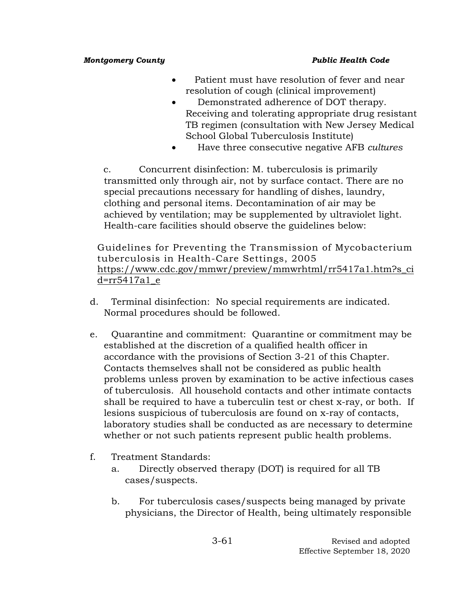- Patient must have resolution of fever and near resolution of cough (clinical improvement)
- Demonstrated adherence of DOT therapy. Receiving and tolerating appropriate drug resistant TB regimen (consultation with New Jersey Medical School Global Tuberculosis Institute)
- Have three consecutive negative AFB *cultures*

c. Concurrent disinfection: M. tuberculosis is primarily transmitted only through air, not by surface contact. There are no special precautions necessary for handling of dishes, laundry, clothing and personal items. Decontamination of air may be achieved by ventilation; may be supplemented by ultraviolet light. Health-care facilities should observe the guidelines below:

Guidelines for Preventing the Transmission of Mycobacterium tuberculosis in Health-Care Settings, 2005 [https://www.cdc.gov/mmwr/preview/mmwrhtml/rr5417a1.htm?s\\_ci](https://www.cdc.gov/mmwr/preview/mmwrhtml/rr5417a1.htm?s_cid=rr5417a1_e) [d=rr5417a1\\_e](https://www.cdc.gov/mmwr/preview/mmwrhtml/rr5417a1.htm?s_cid=rr5417a1_e)

- d. Terminal disinfection: No special requirements are indicated. Normal procedures should be followed.
- e. Quarantine and commitment: Quarantine or commitment may be established at the discretion of a qualified health officer in accordance with the provisions of Section 3-21 of this Chapter. Contacts themselves shall not be considered as public health problems unless proven by examination to be active infectious cases of tuberculosis. All household contacts and other intimate contacts shall be required to have a tuberculin test or chest x-ray, or both. If lesions suspicious of tuberculosis are found on x-ray of contacts, laboratory studies shall be conducted as are necessary to determine whether or not such patients represent public health problems.
- f. Treatment Standards:
	- a. Directly observed therapy (DOT) is required for all TB cases/suspects.
	- b. For tuberculosis cases/suspects being managed by private physicians, the Director of Health, being ultimately responsible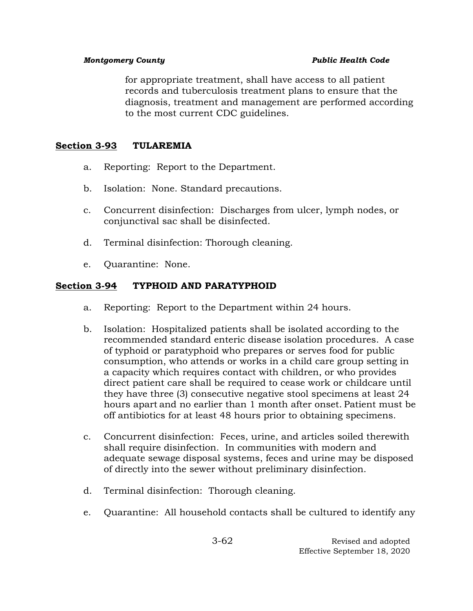for appropriate treatment, shall have access to all patient records and tuberculosis treatment plans to ensure that the diagnosis, treatment and management are performed according to the most current CDC guidelines.

# **Section 3-93 TULAREMIA**

- a. Reporting: Report to the Department.
- b. Isolation: None. Standard precautions.
- c. Concurrent disinfection: Discharges from ulcer, lymph nodes, or conjunctival sac shall be disinfected.
- d. Terminal disinfection: Thorough cleaning.
- e. Quarantine: None.

## **Section 3-94 TYPHOID AND PARATYPHOID**

- a. Reporting: Report to the Department within 24 hours.
- b. Isolation: Hospitalized patients shall be isolated according to the recommended standard enteric disease isolation procedures. A case of typhoid or paratyphoid who prepares or serves food for public consumption, who attends or works in a child care group setting in a capacity which requires contact with children, or who provides direct patient care shall be required to cease work or childcare until they have three (3) consecutive negative stool specimens at least 24 hours apart and no earlier than 1 month after onset. Patient must be off antibiotics for at least 48 hours prior to obtaining specimens.
- c. Concurrent disinfection: Feces, urine, and articles soiled therewith shall require disinfection. In communities with modern and adequate sewage disposal systems, feces and urine may be disposed of directly into the sewer without preliminary disinfection.
- d. Terminal disinfection: Thorough cleaning.
- e. Quarantine: All household contacts shall be cultured to identify any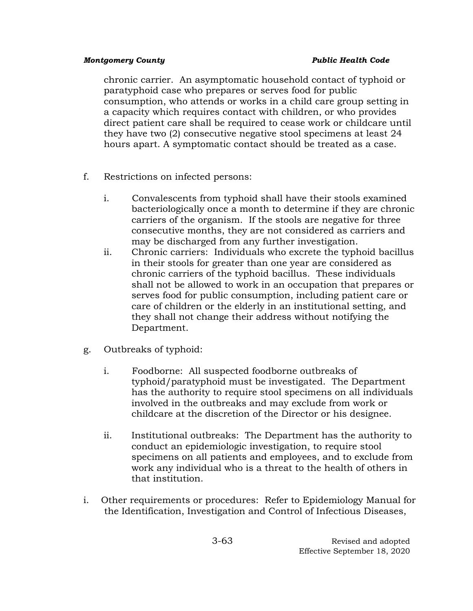chronic carrier. An asymptomatic household contact of typhoid or paratyphoid case who prepares or serves food for public consumption, who attends or works in a child care group setting in a capacity which requires contact with children, or who provides direct patient care shall be required to cease work or childcare until they have two (2) consecutive negative stool specimens at least 24 hours apart. A symptomatic contact should be treated as a case.

- f. Restrictions on infected persons:
	- i. Convalescents from typhoid shall have their stools examined bacteriologically once a month to determine if they are chronic carriers of the organism. If the stools are negative for three consecutive months, they are not considered as carriers and may be discharged from any further investigation.
	- ii. Chronic carriers: Individuals who excrete the typhoid bacillus in their stools for greater than one year are considered as chronic carriers of the typhoid bacillus. These individuals shall not be allowed to work in an occupation that prepares or serves food for public consumption, including patient care or care of children or the elderly in an institutional setting, and they shall not change their address without notifying the Department.
- g. Outbreaks of typhoid:
	- i. Foodborne: All suspected foodborne outbreaks of typhoid/paratyphoid must be investigated. The Department has the authority to require stool specimens on all individuals involved in the outbreaks and may exclude from work or childcare at the discretion of the Director or his designee.
	- ii. Institutional outbreaks: The Department has the authority to conduct an epidemiologic investigation, to require stool specimens on all patients and employees, and to exclude from work any individual who is a threat to the health of others in that institution.
- i. Other requirements or procedures: Refer to Epidemiology Manual for the Identification, Investigation and Control of Infectious Diseases,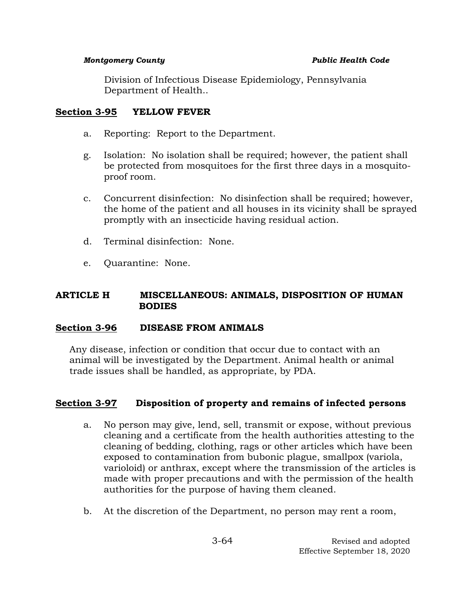Division of Infectious Disease Epidemiology, Pennsylvania Department of Health..

# **Section 3-95 YELLOW FEVER**

- a. Reporting: Report to the Department.
- g. Isolation: No isolation shall be required; however, the patient shall be protected from mosquitoes for the first three days in a mosquitoproof room.
- c. Concurrent disinfection: No disinfection shall be required; however, the home of the patient and all houses in its vicinity shall be sprayed promptly with an insecticide having residual action.
- d. Terminal disinfection: None.
- e. Quarantine: None.

## **ARTICLE H MISCELLANEOUS: ANIMALS, DISPOSITION OF HUMAN BODIES**

## **Section 3-96 DISEASE FROM ANIMALS**

Any disease, infection or condition that occur due to contact with an animal will be investigated by the Department. Animal health or animal trade issues shall be handled, as appropriate, by PDA.

# **Section 3-97 Disposition of property and remains of infected persons**

- a. No person may give, lend, sell, transmit or expose, without previous cleaning and a certificate from the health authorities attesting to the cleaning of bedding, clothing, rags or other articles which have been exposed to contamination from bubonic plague, smallpox (variola, varioloid) or anthrax, except where the transmission of the articles is made with proper precautions and with the permission of the health authorities for the purpose of having them cleaned.
- b. At the discretion of the Department, no person may rent a room,